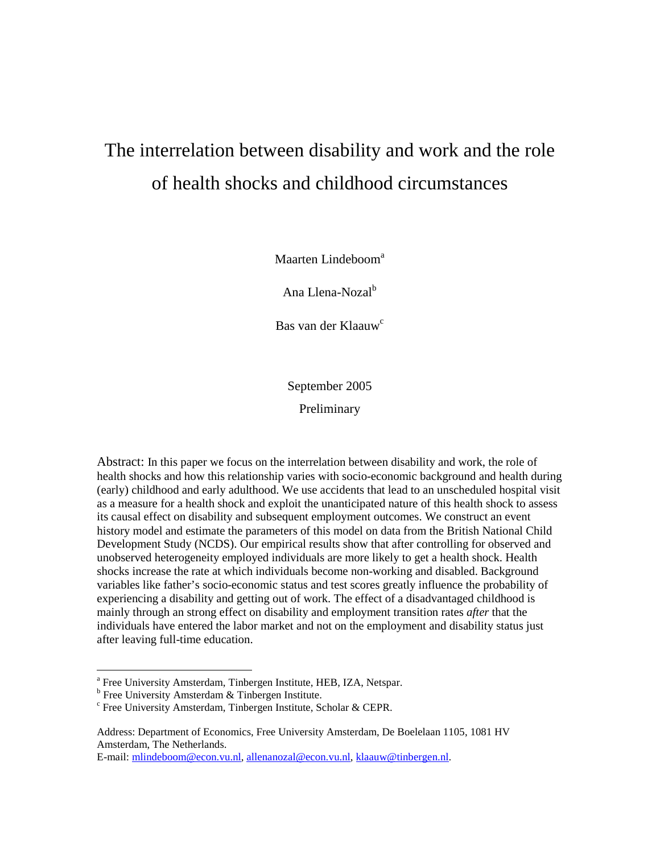# The interrelation between disability and work and the role of health shocks and childhood circumstances

Maarten Lindeboom<sup>a</sup>

Ana Llena-Nozal<sup>b</sup>

Bas van der Klaauw<sup>c</sup>

September 2005

Preliminary

Abstract: In this paper we focus on the interrelation between disability and work, the role of health shocks and how this relationship varies with socio-economic background and health during (early) childhood and early adulthood. We use accidents that lead to an unscheduled hospital visit as a measure for a health shock and exploit the unanticipated nature of this health shock to assess its causal effect on disability and subsequent employment outcomes. We construct an event history model and estimate the parameters of this model on data from the British National Child Development Study (NCDS). Our empirical results show that after controlling for observed and unobserved heterogeneity employed individuals are more likely to get a health shock. Health shocks increase the rate at which individuals become non-working and disabled. Background variables like father's socio-economic status and test scores greatly influence the probability of experiencing a disability and getting out of work. The effect of a disadvantaged childhood is mainly through an strong effect on disability and employment transition rates *after* that the individuals have entered the labor market and not on the employment and disability status just after leaving full-time education.

E-mail: mlindeboom@econ.vu.nl, allenanozal@econ.vu.nl, klaauw@tinbergen.nl.

**Example 2.**<br>
The University Amsterdam, Tinbergen Institute, HEB, IZA, Netspar.

<sup>&</sup>lt;sup>b</sup> Free University Amsterdam & Tinbergen Institute.

c Free University Amsterdam, Tinbergen Institute, Scholar & CEPR.

Address: Department of Economics, Free University Amsterdam, De Boelelaan 1105, 1081 HV Amsterdam, The Netherlands.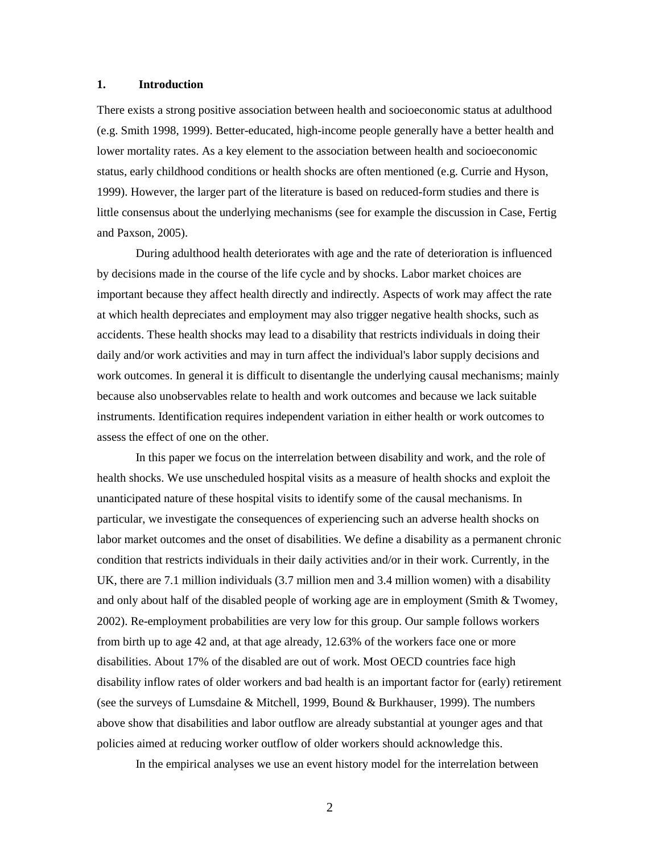# **1. Introduction**

There exists a strong positive association between health and socioeconomic status at adulthood (e.g. Smith 1998, 1999). Better-educated, high-income people generally have a better health and lower mortality rates. As a key element to the association between health and socioeconomic status, early childhood conditions or health shocks are often mentioned (e.g. Currie and Hyson, 1999). However, the larger part of the literature is based on reduced-form studies and there is little consensus about the underlying mechanisms (see for example the discussion in Case, Fertig and Paxson, 2005).

During adulthood health deteriorates with age and the rate of deterioration is influenced by decisions made in the course of the life cycle and by shocks. Labor market choices are important because they affect health directly and indirectly. Aspects of work may affect the rate at which health depreciates and employment may also trigger negative health shocks, such as accidents. These health shocks may lead to a disability that restricts individuals in doing their daily and/or work activities and may in turn affect the individual's labor supply decisions and work outcomes. In general it is difficult to disentangle the underlying causal mechanisms; mainly because also unobservables relate to health and work outcomes and because we lack suitable instruments. Identification requires independent variation in either health or work outcomes to assess the effect of one on the other.

In this paper we focus on the interrelation between disability and work, and the role of health shocks. We use unscheduled hospital visits as a measure of health shocks and exploit the unanticipated nature of these hospital visits to identify some of the causal mechanisms. In particular, we investigate the consequences of experiencing such an adverse health shocks on labor market outcomes and the onset of disabilities. We define a disability as a permanent chronic condition that restricts individuals in their daily activities and/or in their work. Currently, in the UK, there are 7.1 million individuals (3.7 million men and 3.4 million women) with a disability and only about half of the disabled people of working age are in employment (Smith & Twomey, 2002). Re-employment probabilities are very low for this group. Our sample follows workers from birth up to age 42 and, at that age already, 12.63% of the workers face one or more disabilities. About 17% of the disabled are out of work. Most OECD countries face high disability inflow rates of older workers and bad health is an important factor for (early) retirement (see the surveys of Lumsdaine & Mitchell, 1999, Bound & Burkhauser, 1999). The numbers above show that disabilities and labor outflow are already substantial at younger ages and that policies aimed at reducing worker outflow of older workers should acknowledge this.

In the empirical analyses we use an event history model for the interrelation between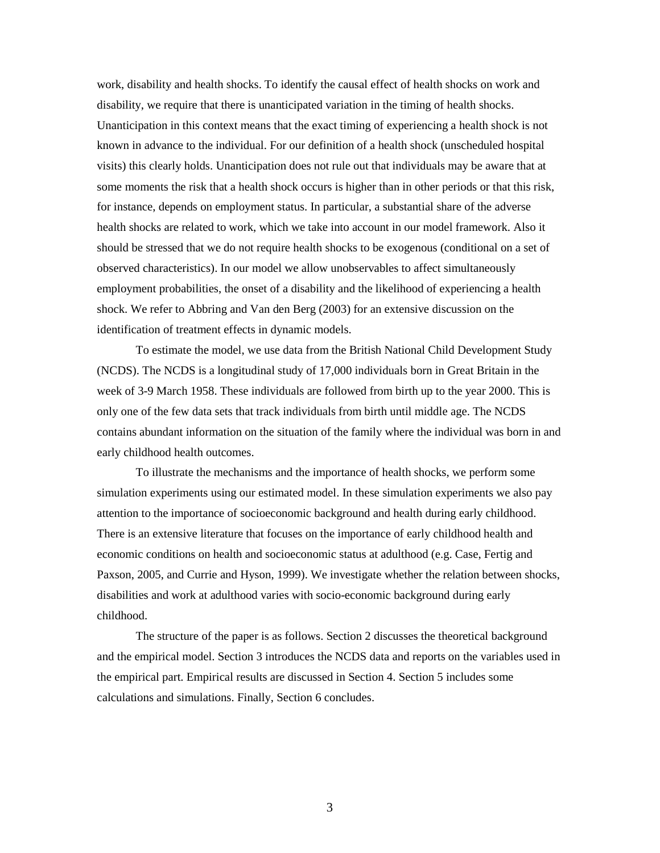work, disability and health shocks. To identify the causal effect of health shocks on work and disability, we require that there is unanticipated variation in the timing of health shocks. Unanticipation in this context means that the exact timing of experiencing a health shock is not known in advance to the individual. For our definition of a health shock (unscheduled hospital visits) this clearly holds. Unanticipation does not rule out that individuals may be aware that at some moments the risk that a health shock occurs is higher than in other periods or that this risk, for instance, depends on employment status. In particular, a substantial share of the adverse health shocks are related to work, which we take into account in our model framework. Also it should be stressed that we do not require health shocks to be exogenous (conditional on a set of observed characteristics). In our model we allow unobservables to affect simultaneously employment probabilities, the onset of a disability and the likelihood of experiencing a health shock. We refer to Abbring and Van den Berg (2003) for an extensive discussion on the identification of treatment effects in dynamic models.

To estimate the model, we use data from the British National Child Development Study (NCDS). The NCDS is a longitudinal study of 17,000 individuals born in Great Britain in the week of 3-9 March 1958. These individuals are followed from birth up to the year 2000. This is only one of the few data sets that track individuals from birth until middle age. The NCDS contains abundant information on the situation of the family where the individual was born in and early childhood health outcomes.

To illustrate the mechanisms and the importance of health shocks, we perform some simulation experiments using our estimated model. In these simulation experiments we also pay attention to the importance of socioeconomic background and health during early childhood. There is an extensive literature that focuses on the importance of early childhood health and economic conditions on health and socioeconomic status at adulthood (e.g. Case, Fertig and Paxson, 2005, and Currie and Hyson, 1999). We investigate whether the relation between shocks, disabilities and work at adulthood varies with socio-economic background during early childhood.

The structure of the paper is as follows. Section 2 discusses the theoretical background and the empirical model. Section 3 introduces the NCDS data and reports on the variables used in the empirical part. Empirical results are discussed in Section 4. Section 5 includes some calculations and simulations. Finally, Section 6 concludes.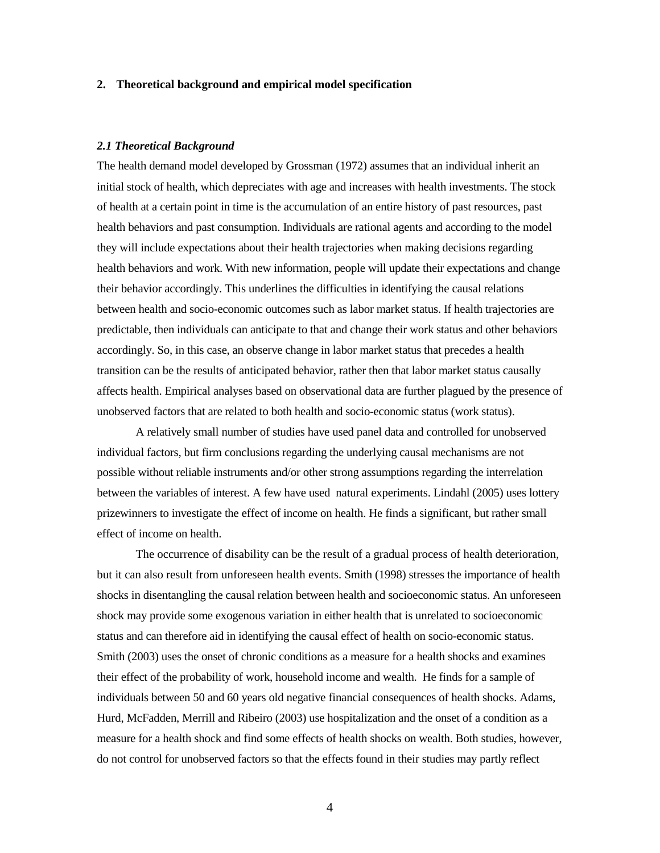#### **2. Theoretical background and empirical model specification**

# *2.1 Theoretical Background*

The health demand model developed by Grossman (1972) assumes that an individual inherit an initial stock of health, which depreciates with age and increases with health investments. The stock of health at a certain point in time is the accumulation of an entire history of past resources, past health behaviors and past consumption. Individuals are rational agents and according to the model they will include expectations about their health trajectories when making decisions regarding health behaviors and work. With new information, people will update their expectations and change their behavior accordingly. This underlines the difficulties in identifying the causal relations between health and socio-economic outcomes such as labor market status. If health trajectories are predictable, then individuals can anticipate to that and change their work status and other behaviors accordingly. So, in this case, an observe change in labor market status that precedes a health transition can be the results of anticipated behavior, rather then that labor market status causally affects health. Empirical analyses based on observational data are further plagued by the presence of unobserved factors that are related to both health and socio-economic status (work status).

 A relatively small number of studies have used panel data and controlled for unobserved individual factors, but firm conclusions regarding the underlying causal mechanisms are not possible without reliable instruments and/or other strong assumptions regarding the interrelation between the variables of interest. A few have used natural experiments. Lindahl (2005) uses lottery prizewinners to investigate the effect of income on health. He finds a significant, but rather small effect of income on health.

The occurrence of disability can be the result of a gradual process of health deterioration, but it can also result from unforeseen health events. Smith (1998) stresses the importance of health shocks in disentangling the causal relation between health and socioeconomic status. An unforeseen shock may provide some exogenous variation in either health that is unrelated to socioeconomic status and can therefore aid in identifying the causal effect of health on socio-economic status. Smith (2003) uses the onset of chronic conditions as a measure for a health shocks and examines their effect of the probability of work, household income and wealth. He finds for a sample of individuals between 50 and 60 years old negative financial consequences of health shocks. Adams, Hurd, McFadden, Merrill and Ribeiro (2003) use hospitalization and the onset of a condition as a measure for a health shock and find some effects of health shocks on wealth. Both studies, however, do not control for unobserved factors so that the effects found in their studies may partly reflect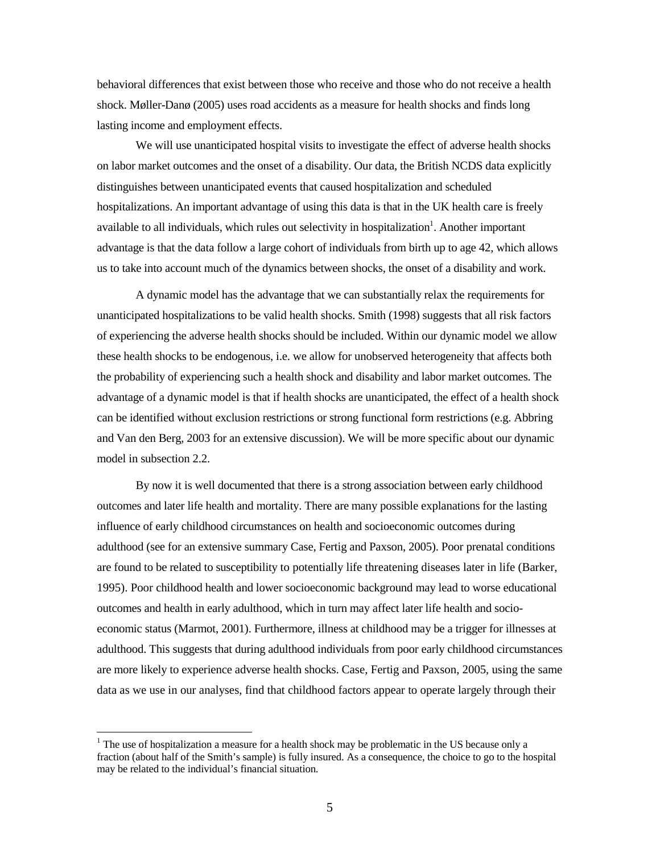behavioral differences that exist between those who receive and those who do not receive a health shock. Møller-Danø (2005) uses road accidents as a measure for health shocks and finds long lasting income and employment effects.

 We will use unanticipated hospital visits to investigate the effect of adverse health shocks on labor market outcomes and the onset of a disability. Our data, the British NCDS data explicitly distinguishes between unanticipated events that caused hospitalization and scheduled hospitalizations. An important advantage of using this data is that in the UK health care is freely available to all individuals, which rules out selectivity in hospitalization<sup>1</sup>. Another important advantage is that the data follow a large cohort of individuals from birth up to age 42, which allows us to take into account much of the dynamics between shocks, the onset of a disability and work.

A dynamic model has the advantage that we can substantially relax the requirements for unanticipated hospitalizations to be valid health shocks. Smith (1998) suggests that all risk factors of experiencing the adverse health shocks should be included. Within our dynamic model we allow these health shocks to be endogenous, i.e. we allow for unobserved heterogeneity that affects both the probability of experiencing such a health shock and disability and labor market outcomes. The advantage of a dynamic model is that if health shocks are unanticipated, the effect of a health shock can be identified without exclusion restrictions or strong functional form restrictions (e.g. Abbring and Van den Berg, 2003 for an extensive discussion). We will be more specific about our dynamic model in subsection 2.2.

By now it is well documented that there is a strong association between early childhood outcomes and later life health and mortality. There are many possible explanations for the lasting influence of early childhood circumstances on health and socioeconomic outcomes during adulthood (see for an extensive summary Case, Fertig and Paxson, 2005). Poor prenatal conditions are found to be related to susceptibility to potentially life threatening diseases later in life (Barker, 1995). Poor childhood health and lower socioeconomic background may lead to worse educational outcomes and health in early adulthood, which in turn may affect later life health and socioeconomic status (Marmot, 2001). Furthermore, illness at childhood may be a trigger for illnesses at adulthood. This suggests that during adulthood individuals from poor early childhood circumstances are more likely to experience adverse health shocks. Case, Fertig and Paxson, 2005, using the same data as we use in our analyses, find that childhood factors appear to operate largely through their

<u>.</u>

 $1$  The use of hospitalization a measure for a health shock may be problematic in the US because only a fraction (about half of the Smith's sample) is fully insured. As a consequence, the choice to go to the hospital may be related to the individual's financial situation.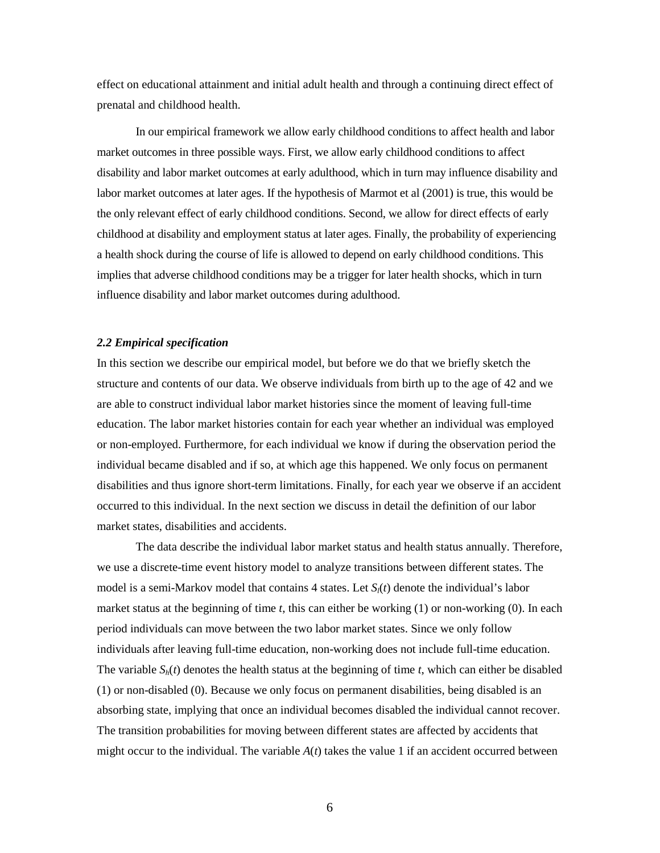effect on educational attainment and initial adult health and through a continuing direct effect of prenatal and childhood health.

In our empirical framework we allow early childhood conditions to affect health and labor market outcomes in three possible ways. First, we allow early childhood conditions to affect disability and labor market outcomes at early adulthood, which in turn may influence disability and labor market outcomes at later ages. If the hypothesis of Marmot et al (2001) is true, this would be the only relevant effect of early childhood conditions. Second, we allow for direct effects of early childhood at disability and employment status at later ages. Finally, the probability of experiencing a health shock during the course of life is allowed to depend on early childhood conditions. This implies that adverse childhood conditions may be a trigger for later health shocks, which in turn influence disability and labor market outcomes during adulthood.

# *2.2 Empirical specification*

In this section we describe our empirical model, but before we do that we briefly sketch the structure and contents of our data. We observe individuals from birth up to the age of 42 and we are able to construct individual labor market histories since the moment of leaving full-time education. The labor market histories contain for each year whether an individual was employed or non-employed. Furthermore, for each individual we know if during the observation period the individual became disabled and if so, at which age this happened. We only focus on permanent disabilities and thus ignore short-term limitations. Finally, for each year we observe if an accident occurred to this individual. In the next section we discuss in detail the definition of our labor market states, disabilities and accidents.

The data describe the individual labor market status and health status annually. Therefore, we use a discrete-time event history model to analyze transitions between different states. The model is a semi-Markov model that contains 4 states. Let *Sl*(*t*) denote the individual's labor market status at the beginning of time *t*, this can either be working (1) or non-working (0). In each period individuals can move between the two labor market states. Since we only follow individuals after leaving full-time education, non-working does not include full-time education. The variable  $S_h(t)$  denotes the health status at the beginning of time  $t$ , which can either be disabled (1) or non-disabled (0). Because we only focus on permanent disabilities, being disabled is an absorbing state, implying that once an individual becomes disabled the individual cannot recover. The transition probabilities for moving between different states are affected by accidents that might occur to the individual. The variable  $A(t)$  takes the value 1 if an accident occurred between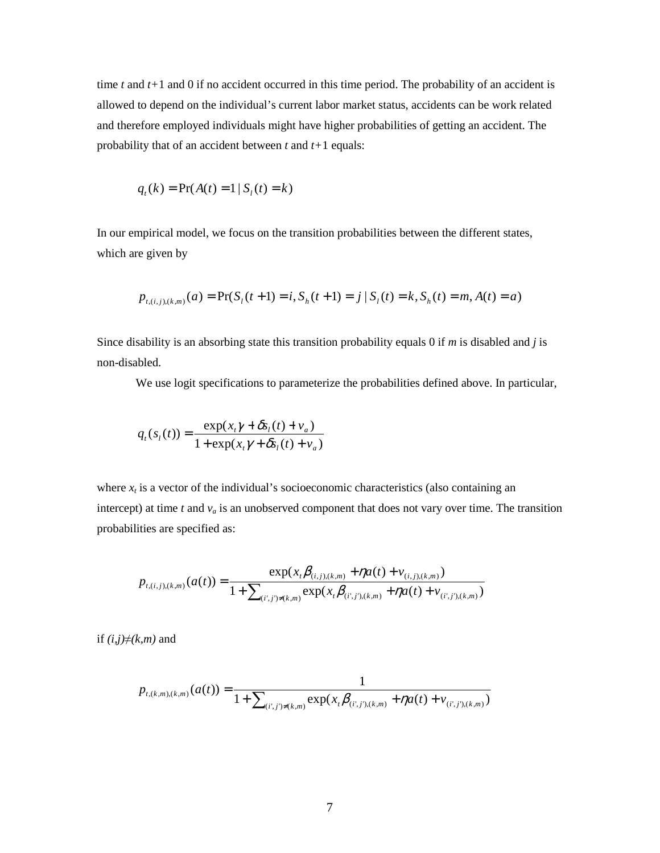time *t* and *t+*1 and 0 if no accident occurred in this time period. The probability of an accident is allowed to depend on the individual's current labor market status, accidents can be work related and therefore employed individuals might have higher probabilities of getting an accident. The probability that of an accident between *t* and *t+*1 equals:

$$
q_t(k) = \Pr(A(t) = 1 | S_t(t) = k)
$$

In our empirical model, we focus on the transition probabilities between the different states, which are given by

$$
p_{t,(i,j),(k,m)}(a) = \Pr(S_i(t+1) = i, S_n(t+1) = j | S_i(t) = k, S_n(t) = m, A(t) = a)
$$

Since disability is an absorbing state this transition probability equals 0 if *m* is disabled and *j* is non-disabled.

We use logit specifications to parameterize the probabilities defined above. In particular,

$$
q_t(s_t(t)) = \frac{\exp(x_t \gamma + \delta s_t(t) + v_a)}{1 + \exp(x_t \gamma + \delta s_t(t) + v_a)}
$$

where  $x_t$  is a vector of the individual's socioeconomic characteristics (also containing an intercept) at time  $t$  and  $v_a$  is an unobserved component that does not vary over time. The transition probabilities are specified as:

$$
p_{t,(i,j),(k,m)}(a(t)) = \frac{\exp(x_t\beta_{(i,j),(k,m)} + \eta a(t) + v_{(i,j),(k,m)})}{1 + \sum_{(i',j') \neq (k,m)} \exp(x_t\beta_{(i',j),(k,m)} + \eta a(t) + v_{(i',j'),(k,m)})}
$$

if  $(i,j) \neq (k,m)$  and

$$
p_{t,(k,m),(k,m)}(a(t)) = \frac{1}{1 + \sum_{(i',j') \neq (k,m)} \exp(x_t \beta_{(i',j'),(k,m)} + \eta a(t) + v_{(i',j'),(k,m)})}
$$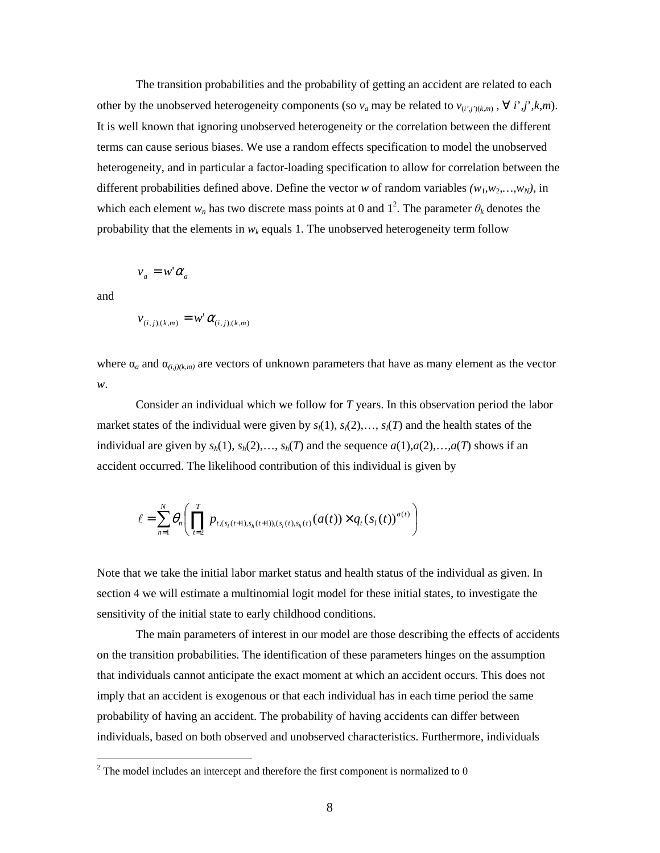The transition probabilities and the probability of getting an accident are related to each other by the unobserved heterogeneity components (so  $v_a$  may be related to  $v_{(i',j')}(k,m)$ ,  $\forall i', j', k, m$ ). It is well known that ignoring unobserved heterogeneity or the correlation between the different terms can cause serious biases. We use a random effects specification to model the unobserved heterogeneity, and in particular a factor-loading specification to allow for correlation between the different probabilities defined above. Define the vector *w* of random variables  $(w_1, w_2, \ldots, w_N)$ , in which each element  $w_n$  has two discrete mass points at 0 and  $1^2$ . The parameter  $\theta_k$  denotes the probability that the elements in  $w_k$  equals 1. The unobserved heterogeneity term follow

$$
v_a = w' \alpha_a
$$

and

<u>.</u>

$$
v_{(i,j),(k,m)} = w^{\dagger} \alpha_{(i,j),(k,m)}
$$

where  $\alpha_a$  and  $\alpha_{(i,j)(k,m)}$  are vectors of unknown parameters that have as many element as the vector *w*.

Consider an individual which we follow for *T* years. In this observation period the labor market states of the individual were given by  $s_l(1), s_l(2), \ldots, s_l(T)$  and the health states of the individual are given by  $s_h(1)$ ,  $s_h(2)$ ,...,  $s_h(T)$  and the sequence  $a(1), a(2), \ldots, a(T)$  shows if an accident occurred. The likelihood contribution of this individual is given by

$$
\ell = \sum_{n=1}^{N} \theta_n \left( \prod_{t=2}^{T} p_{t, (s_i(t+1), s_h(t+1)), (s_i(t), s_h(t))}(a(t)) \times q_t(s_i(t))^{a(t)} \right)
$$

Note that we take the initial labor market status and health status of the individual as given. In section 4 we will estimate a multinomial logit model for these initial states, to investigate the sensitivity of the initial state to early childhood conditions.

The main parameters of interest in our model are those describing the effects of accidents on the transition probabilities. The identification of these parameters hinges on the assumption that individuals cannot anticipate the exact moment at which an accident occurs. This does not imply that an accident is exogenous or that each individual has in each time period the same probability of having an accident. The probability of having accidents can differ between individuals, based on both observed and unobserved characteristics. Furthermore, individuals

 $2^2$  The model includes an intercept and therefore the first component is normalized to 0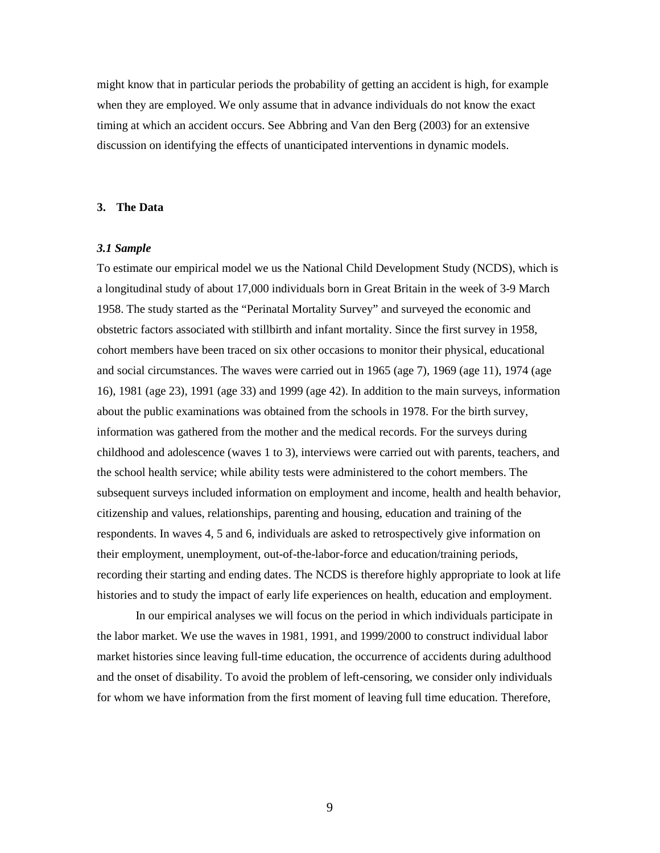might know that in particular periods the probability of getting an accident is high, for example when they are employed. We only assume that in advance individuals do not know the exact timing at which an accident occurs. See Abbring and Van den Berg (2003) for an extensive discussion on identifying the effects of unanticipated interventions in dynamic models.

## **3. The Data**

## *3.1 Sample*

To estimate our empirical model we us the National Child Development Study (NCDS), which is a longitudinal study of about 17,000 individuals born in Great Britain in the week of 3-9 March 1958. The study started as the "Perinatal Mortality Survey" and surveyed the economic and obstetric factors associated with stillbirth and infant mortality. Since the first survey in 1958, cohort members have been traced on six other occasions to monitor their physical, educational and social circumstances. The waves were carried out in 1965 (age 7), 1969 (age 11), 1974 (age 16), 1981 (age 23), 1991 (age 33) and 1999 (age 42). In addition to the main surveys, information about the public examinations was obtained from the schools in 1978. For the birth survey, information was gathered from the mother and the medical records. For the surveys during childhood and adolescence (waves 1 to 3), interviews were carried out with parents, teachers, and the school health service; while ability tests were administered to the cohort members. The subsequent surveys included information on employment and income, health and health behavior, citizenship and values, relationships, parenting and housing, education and training of the respondents. In waves 4, 5 and 6, individuals are asked to retrospectively give information on their employment, unemployment, out-of-the-labor-force and education/training periods, recording their starting and ending dates. The NCDS is therefore highly appropriate to look at life histories and to study the impact of early life experiences on health, education and employment.

In our empirical analyses we will focus on the period in which individuals participate in the labor market. We use the waves in 1981, 1991, and 1999/2000 to construct individual labor market histories since leaving full-time education, the occurrence of accidents during adulthood and the onset of disability. To avoid the problem of left-censoring, we consider only individuals for whom we have information from the first moment of leaving full time education. Therefore,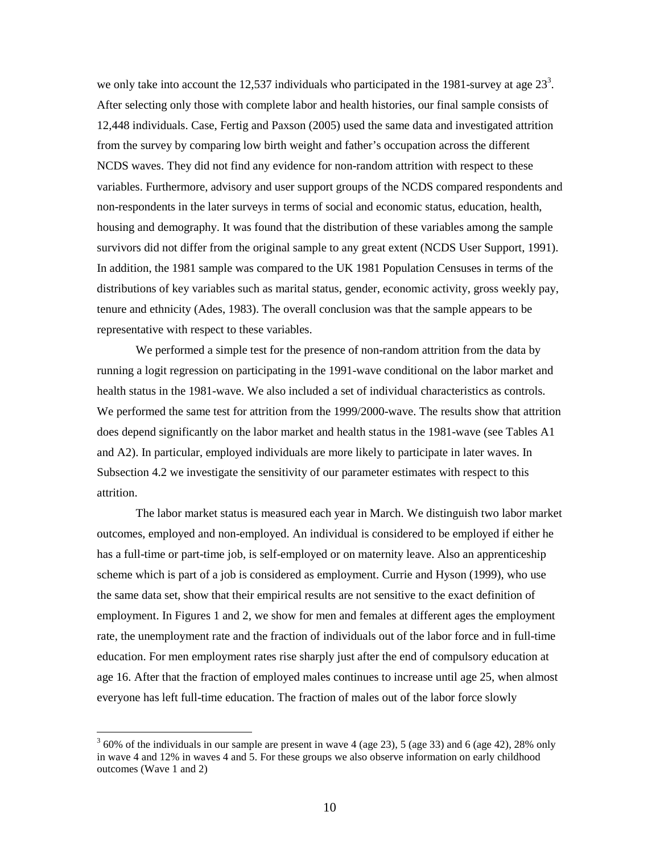we only take into account the 12,537 individuals who participated in the 1981-survey at age  $23<sup>3</sup>$ . After selecting only those with complete labor and health histories, our final sample consists of 12,448 individuals. Case, Fertig and Paxson (2005) used the same data and investigated attrition from the survey by comparing low birth weight and father's occupation across the different NCDS waves. They did not find any evidence for non-random attrition with respect to these variables. Furthermore, advisory and user support groups of the NCDS compared respondents and non-respondents in the later surveys in terms of social and economic status, education, health, housing and demography. It was found that the distribution of these variables among the sample survivors did not differ from the original sample to any great extent (NCDS User Support, 1991). In addition, the 1981 sample was compared to the UK 1981 Population Censuses in terms of the distributions of key variables such as marital status, gender, economic activity, gross weekly pay, tenure and ethnicity (Ades, 1983). The overall conclusion was that the sample appears to be representative with respect to these variables.

We performed a simple test for the presence of non-random attrition from the data by running a logit regression on participating in the 1991-wave conditional on the labor market and health status in the 1981-wave. We also included a set of individual characteristics as controls. We performed the same test for attrition from the 1999/2000-wave. The results show that attrition does depend significantly on the labor market and health status in the 1981-wave (see Tables A1 and A2). In particular, employed individuals are more likely to participate in later waves. In Subsection 4.2 we investigate the sensitivity of our parameter estimates with respect to this attrition.

The labor market status is measured each year in March. We distinguish two labor market outcomes, employed and non-employed. An individual is considered to be employed if either he has a full-time or part-time job, is self-employed or on maternity leave. Also an apprenticeship scheme which is part of a job is considered as employment. Currie and Hyson (1999), who use the same data set, show that their empirical results are not sensitive to the exact definition of employment. In Figures 1 and 2, we show for men and females at different ages the employment rate, the unemployment rate and the fraction of individuals out of the labor force and in full-time education. For men employment rates rise sharply just after the end of compulsory education at age 16. After that the fraction of employed males continues to increase until age 25, when almost everyone has left full-time education. The fraction of males out of the labor force slowly

<u>.</u>

 $3$  60% of the individuals in our sample are present in wave 4 (age 23), 5 (age 33) and 6 (age 42), 28% only in wave 4 and 12% in waves 4 and 5. For these groups we also observe information on early childhood outcomes (Wave 1 and 2)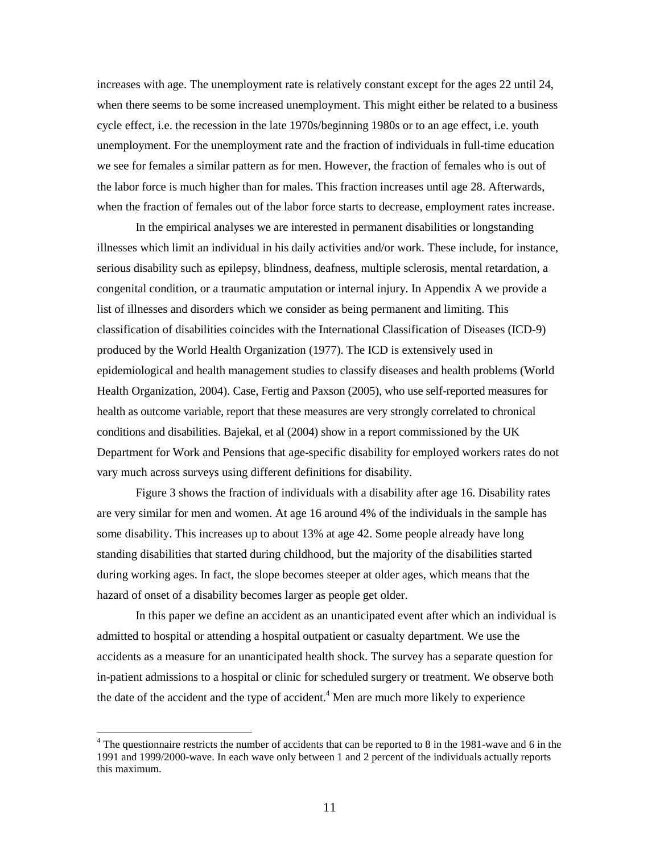increases with age. The unemployment rate is relatively constant except for the ages 22 until 24, when there seems to be some increased unemployment. This might either be related to a business cycle effect, i.e. the recession in the late 1970s/beginning 1980s or to an age effect, i.e. youth unemployment. For the unemployment rate and the fraction of individuals in full-time education we see for females a similar pattern as for men. However, the fraction of females who is out of the labor force is much higher than for males. This fraction increases until age 28. Afterwards, when the fraction of females out of the labor force starts to decrease, employment rates increase.

In the empirical analyses we are interested in permanent disabilities or longstanding illnesses which limit an individual in his daily activities and/or work. These include, for instance, serious disability such as epilepsy, blindness, deafness, multiple sclerosis, mental retardation, a congenital condition, or a traumatic amputation or internal injury. In Appendix A we provide a list of illnesses and disorders which we consider as being permanent and limiting. This classification of disabilities coincides with the International Classification of Diseases (ICD-9) produced by the World Health Organization (1977). The ICD is extensively used in epidemiological and health management studies to classify diseases and health problems (World Health Organization, 2004). Case, Fertig and Paxson (2005), who use self-reported measures for health as outcome variable, report that these measures are very strongly correlated to chronical conditions and disabilities. Bajekal, et al (2004) show in a report commissioned by the UK Department for Work and Pensions that age-specific disability for employed workers rates do not vary much across surveys using different definitions for disability.

Figure 3 shows the fraction of individuals with a disability after age 16. Disability rates are very similar for men and women. At age 16 around 4% of the individuals in the sample has some disability. This increases up to about 13% at age 42. Some people already have long standing disabilities that started during childhood, but the majority of the disabilities started during working ages. In fact, the slope becomes steeper at older ages, which means that the hazard of onset of a disability becomes larger as people get older.

 In this paper we define an accident as an unanticipated event after which an individual is admitted to hospital or attending a hospital outpatient or casualty department. We use the accidents as a measure for an unanticipated health shock. The survey has a separate question for in-patient admissions to a hospital or clinic for scheduled surgery or treatment. We observe both the date of the accident and the type of accident.<sup>4</sup> Men are much more likely to experience

<u>.</u>

<sup>&</sup>lt;sup>4</sup> The questionnaire restricts the number of accidents that can be reported to 8 in the 1981-wave and 6 in the 1991 and 1999/2000-wave. In each wave only between 1 and 2 percent of the individuals actually reports this maximum.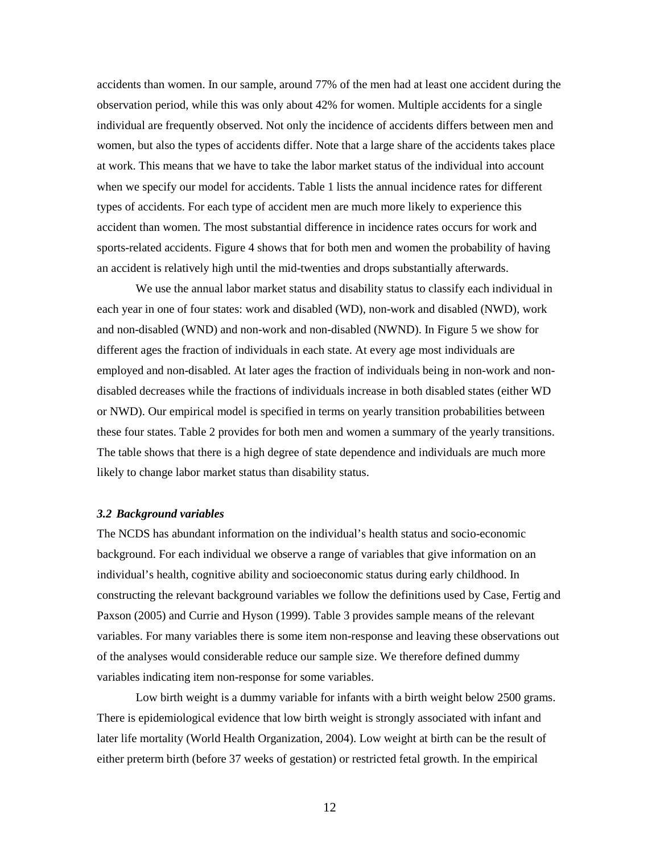accidents than women. In our sample, around 77% of the men had at least one accident during the observation period, while this was only about 42% for women. Multiple accidents for a single individual are frequently observed. Not only the incidence of accidents differs between men and women, but also the types of accidents differ. Note that a large share of the accidents takes place at work. This means that we have to take the labor market status of the individual into account when we specify our model for accidents. Table 1 lists the annual incidence rates for different types of accidents. For each type of accident men are much more likely to experience this accident than women. The most substantial difference in incidence rates occurs for work and sports-related accidents. Figure 4 shows that for both men and women the probability of having an accident is relatively high until the mid-twenties and drops substantially afterwards.

We use the annual labor market status and disability status to classify each individual in each year in one of four states: work and disabled (WD), non-work and disabled (NWD), work and non-disabled (WND) and non-work and non-disabled (NWND). In Figure 5 we show for different ages the fraction of individuals in each state. At every age most individuals are employed and non-disabled. At later ages the fraction of individuals being in non-work and nondisabled decreases while the fractions of individuals increase in both disabled states (either WD or NWD). Our empirical model is specified in terms on yearly transition probabilities between these four states. Table 2 provides for both men and women a summary of the yearly transitions. The table shows that there is a high degree of state dependence and individuals are much more likely to change labor market status than disability status.

## *3.2 Background variables*

The NCDS has abundant information on the individual's health status and socio-economic background. For each individual we observe a range of variables that give information on an individual's health, cognitive ability and socioeconomic status during early childhood. In constructing the relevant background variables we follow the definitions used by Case, Fertig and Paxson (2005) and Currie and Hyson (1999). Table 3 provides sample means of the relevant variables. For many variables there is some item non-response and leaving these observations out of the analyses would considerable reduce our sample size. We therefore defined dummy variables indicating item non-response for some variables.

 Low birth weight is a dummy variable for infants with a birth weight below 2500 grams. There is epidemiological evidence that low birth weight is strongly associated with infant and later life mortality (World Health Organization, 2004). Low weight at birth can be the result of either preterm birth (before 37 weeks of gestation) or restricted fetal growth. In the empirical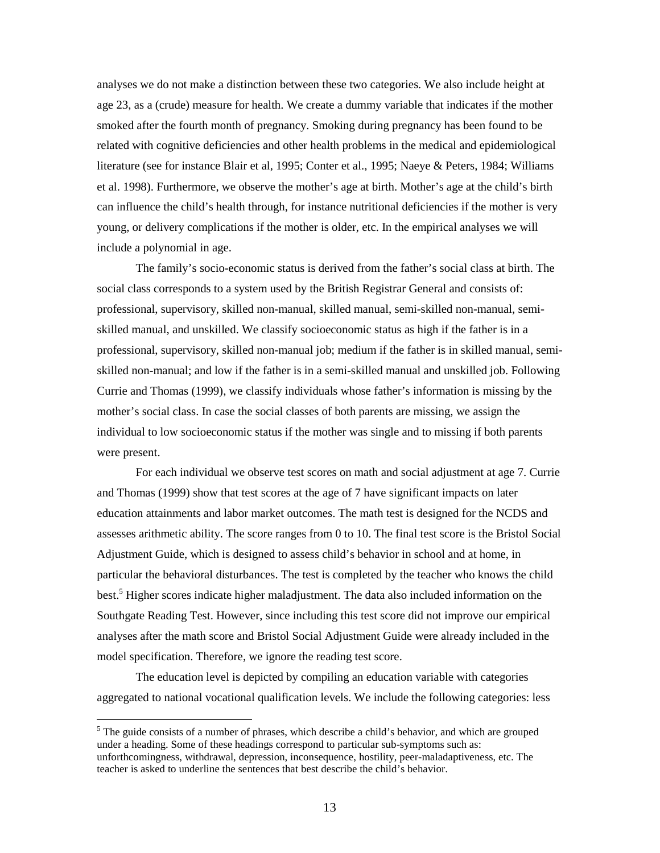analyses we do not make a distinction between these two categories. We also include height at age 23, as a (crude) measure for health. We create a dummy variable that indicates if the mother smoked after the fourth month of pregnancy. Smoking during pregnancy has been found to be related with cognitive deficiencies and other health problems in the medical and epidemiological literature (see for instance Blair et al, 1995; Conter et al., 1995; Naeye & Peters, 1984; Williams et al. 1998). Furthermore, we observe the mother's age at birth. Mother's age at the child's birth can influence the child's health through, for instance nutritional deficiencies if the mother is very young, or delivery complications if the mother is older, etc. In the empirical analyses we will include a polynomial in age.

The family's socio-economic status is derived from the father's social class at birth. The social class corresponds to a system used by the British Registrar General and consists of: professional, supervisory, skilled non-manual, skilled manual, semi-skilled non-manual, semiskilled manual, and unskilled. We classify socioeconomic status as high if the father is in a professional, supervisory, skilled non-manual job; medium if the father is in skilled manual, semiskilled non-manual; and low if the father is in a semi-skilled manual and unskilled job. Following Currie and Thomas (1999), we classify individuals whose father's information is missing by the mother's social class. In case the social classes of both parents are missing, we assign the individual to low socioeconomic status if the mother was single and to missing if both parents were present.

For each individual we observe test scores on math and social adjustment at age 7. Currie and Thomas (1999) show that test scores at the age of 7 have significant impacts on later education attainments and labor market outcomes. The math test is designed for the NCDS and assesses arithmetic ability. The score ranges from 0 to 10. The final test score is the Bristol Social Adjustment Guide, which is designed to assess child's behavior in school and at home, in particular the behavioral disturbances. The test is completed by the teacher who knows the child best.<sup>5</sup> Higher scores indicate higher maladjustment. The data also included information on the Southgate Reading Test. However, since including this test score did not improve our empirical analyses after the math score and Bristol Social Adjustment Guide were already included in the model specification. Therefore, we ignore the reading test score.

The education level is depicted by compiling an education variable with categories aggregated to national vocational qualification levels. We include the following categories: less

<u>.</u>

<sup>&</sup>lt;sup>5</sup> The guide consists of a number of phrases, which describe a child's behavior, and which are grouped under a heading. Some of these headings correspond to particular sub-symptoms such as: unforthcomingness, withdrawal, depression, inconsequence, hostility, peer-maladaptiveness, etc. The teacher is asked to underline the sentences that best describe the child's behavior.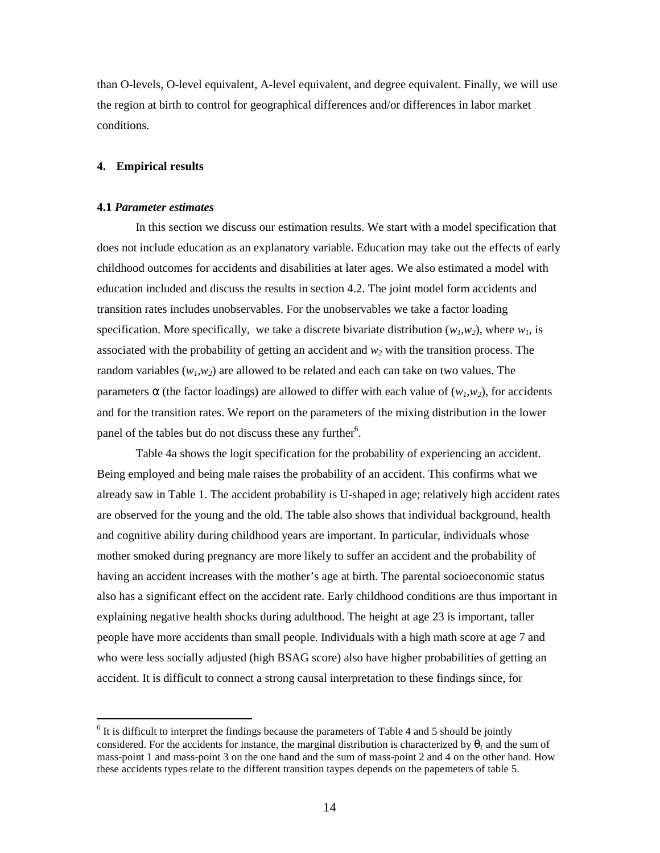than O-levels, O-level equivalent, A-level equivalent, and degree equivalent. Finally, we will use the region at birth to control for geographical differences and/or differences in labor market conditions.

# **4. Empirical results**

## **4.1** *Parameter estimates*

<u>.</u>

In this section we discuss our estimation results. We start with a model specification that does not include education as an explanatory variable. Education may take out the effects of early childhood outcomes for accidents and disabilities at later ages. We also estimated a model with education included and discuss the results in section 4.2. The joint model form accidents and transition rates includes unobservables. For the unobservables we take a factor loading specification. More specifically, we take a discrete bivariate distribution  $(w_l, w_2)$ , where  $w_l$ , is associated with the probability of getting an accident and *w2* with the transition process. The random variables  $(w_l, w_2)$  are allowed to be related and each can take on two values. The parameters  $\alpha$  (the factor loadings) are allowed to differ with each value of  $(w_l, w_2)$ , for accidents and for the transition rates. We report on the parameters of the mixing distribution in the lower panel of the tables but do not discuss these any further<sup>6</sup>.

Table 4a shows the logit specification for the probability of experiencing an accident. Being employed and being male raises the probability of an accident. This confirms what we already saw in Table 1. The accident probability is U-shaped in age; relatively high accident rates are observed for the young and the old. The table also shows that individual background, health and cognitive ability during childhood years are important. In particular, individuals whose mother smoked during pregnancy are more likely to suffer an accident and the probability of having an accident increases with the mother's age at birth. The parental socioeconomic status also has a significant effect on the accident rate. Early childhood conditions are thus important in explaining negative health shocks during adulthood. The height at age 23 is important, taller people have more accidents than small people. Individuals with a high math score at age 7 and who were less socially adjusted (high BSAG score) also have higher probabilities of getting an accident. It is difficult to connect a strong causal interpretation to these findings since, for

 $<sup>6</sup>$  It is difficult to interpret the findings because the parameters of Table 4 and 5 should be jointly</sup> considered. For the accidents for instance, the marginal distribution is characterized by  $\theta_1$  and the sum of mass-point 1 and mass-point 3 on the one hand and the sum of mass-point 2 and 4 on the other hand. How these accidents types relate to the different transition taypes depends on the papemeters of table 5.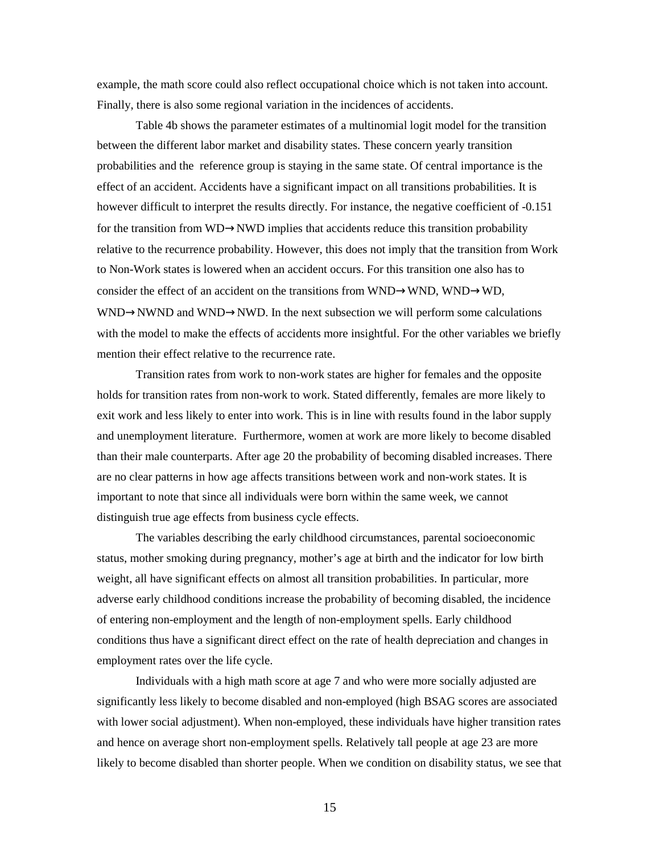example, the math score could also reflect occupational choice which is not taken into account. Finally, there is also some regional variation in the incidences of accidents.

Table 4b shows the parameter estimates of a multinomial logit model for the transition between the different labor market and disability states. These concern yearly transition probabilities and the reference group is staying in the same state. Of central importance is the effect of an accident. Accidents have a significant impact on all transitions probabilities. It is however difficult to interpret the results directly. For instance, the negative coefficient of -0.151 for the transition from WD→NWD implies that accidents reduce this transition probability relative to the recurrence probability. However, this does not imply that the transition from Work to Non-Work states is lowered when an accident occurs. For this transition one also has to consider the effect of an accident on the transitions from WND→WND, WND→WD, WND→NWND and WND→NWD. In the next subsection we will perform some calculations with the model to make the effects of accidents more insightful. For the other variables we briefly mention their effect relative to the recurrence rate.

Transition rates from work to non-work states are higher for females and the opposite holds for transition rates from non-work to work. Stated differently, females are more likely to exit work and less likely to enter into work. This is in line with results found in the labor supply and unemployment literature. Furthermore, women at work are more likely to become disabled than their male counterparts. After age 20 the probability of becoming disabled increases. There are no clear patterns in how age affects transitions between work and non-work states. It is important to note that since all individuals were born within the same week, we cannot distinguish true age effects from business cycle effects.

The variables describing the early childhood circumstances, parental socioeconomic status, mother smoking during pregnancy, mother's age at birth and the indicator for low birth weight, all have significant effects on almost all transition probabilities. In particular, more adverse early childhood conditions increase the probability of becoming disabled, the incidence of entering non-employment and the length of non-employment spells. Early childhood conditions thus have a significant direct effect on the rate of health depreciation and changes in employment rates over the life cycle.

Individuals with a high math score at age 7 and who were more socially adjusted are significantly less likely to become disabled and non-employed (high BSAG scores are associated with lower social adjustment). When non-employed, these individuals have higher transition rates and hence on average short non-employment spells. Relatively tall people at age 23 are more likely to become disabled than shorter people. When we condition on disability status, we see that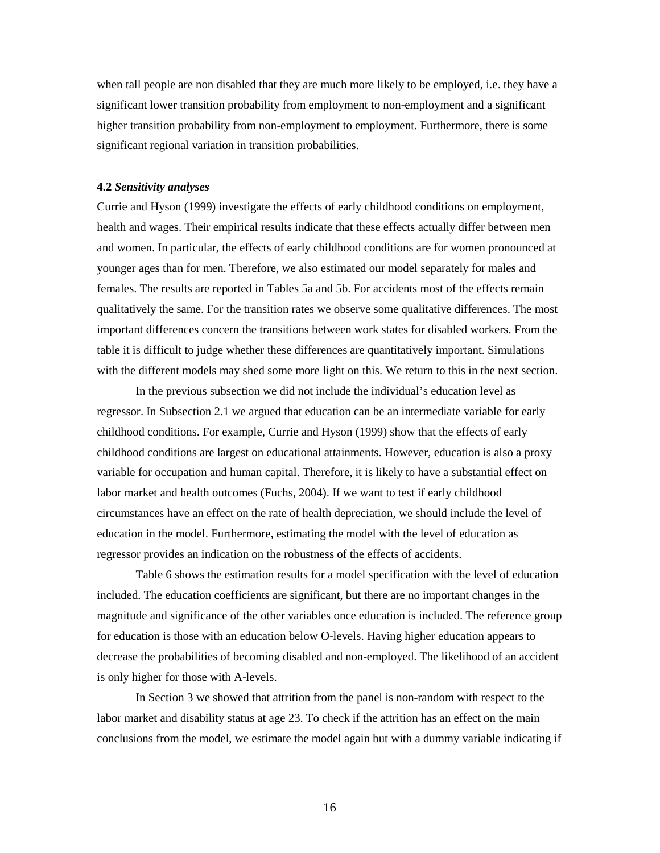when tall people are non disabled that they are much more likely to be employed, i.e. they have a significant lower transition probability from employment to non-employment and a significant higher transition probability from non-employment to employment. Furthermore, there is some significant regional variation in transition probabilities.

#### **4.2** *Sensitivity analyses*

Currie and Hyson (1999) investigate the effects of early childhood conditions on employment, health and wages. Their empirical results indicate that these effects actually differ between men and women. In particular, the effects of early childhood conditions are for women pronounced at younger ages than for men. Therefore, we also estimated our model separately for males and females. The results are reported in Tables 5a and 5b. For accidents most of the effects remain qualitatively the same. For the transition rates we observe some qualitative differences. The most important differences concern the transitions between work states for disabled workers. From the table it is difficult to judge whether these differences are quantitatively important. Simulations with the different models may shed some more light on this. We return to this in the next section.

In the previous subsection we did not include the individual's education level as regressor. In Subsection 2.1 we argued that education can be an intermediate variable for early childhood conditions. For example, Currie and Hyson (1999) show that the effects of early childhood conditions are largest on educational attainments. However, education is also a proxy variable for occupation and human capital. Therefore, it is likely to have a substantial effect on labor market and health outcomes (Fuchs, 2004). If we want to test if early childhood circumstances have an effect on the rate of health depreciation, we should include the level of education in the model. Furthermore, estimating the model with the level of education as regressor provides an indication on the robustness of the effects of accidents.

Table 6 shows the estimation results for a model specification with the level of education included. The education coefficients are significant, but there are no important changes in the magnitude and significance of the other variables once education is included. The reference group for education is those with an education below O-levels. Having higher education appears to decrease the probabilities of becoming disabled and non-employed. The likelihood of an accident is only higher for those with A-levels.

 In Section 3 we showed that attrition from the panel is non-random with respect to the labor market and disability status at age 23. To check if the attrition has an effect on the main conclusions from the model, we estimate the model again but with a dummy variable indicating if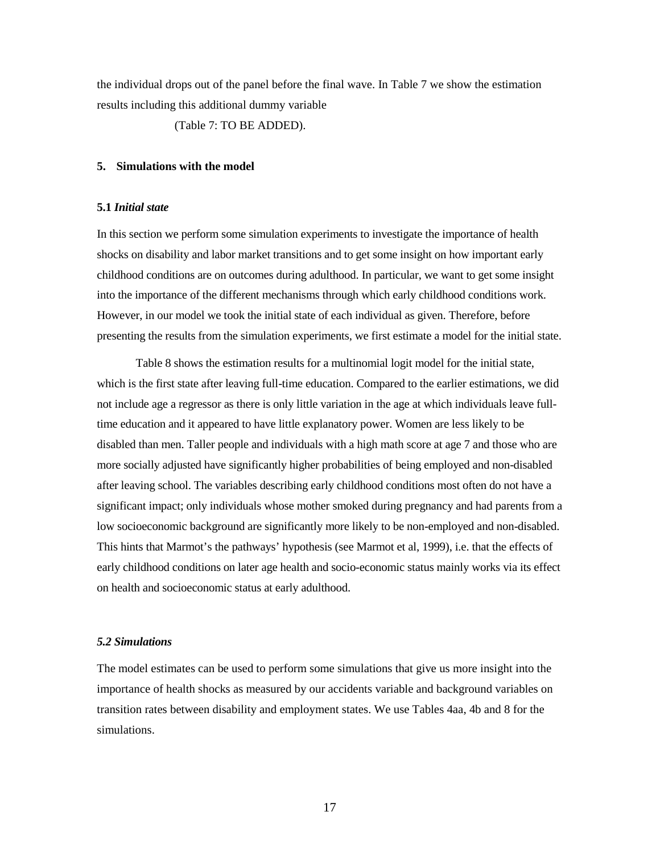the individual drops out of the panel before the final wave. In Table 7 we show the estimation results including this additional dummy variable

(Table 7: TO BE ADDED).

# **5. Simulations with the model**

## **5.1** *Initial state*

In this section we perform some simulation experiments to investigate the importance of health shocks on disability and labor market transitions and to get some insight on how important early childhood conditions are on outcomes during adulthood. In particular, we want to get some insight into the importance of the different mechanisms through which early childhood conditions work. However, in our model we took the initial state of each individual as given. Therefore, before presenting the results from the simulation experiments, we first estimate a model for the initial state.

 Table 8 shows the estimation results for a multinomial logit model for the initial state, which is the first state after leaving full-time education. Compared to the earlier estimations, we did not include age a regressor as there is only little variation in the age at which individuals leave fulltime education and it appeared to have little explanatory power. Women are less likely to be disabled than men. Taller people and individuals with a high math score at age 7 and those who are more socially adjusted have significantly higher probabilities of being employed and non-disabled after leaving school. The variables describing early childhood conditions most often do not have a significant impact; only individuals whose mother smoked during pregnancy and had parents from a low socioeconomic background are significantly more likely to be non-employed and non-disabled. This hints that Marmot's the pathways' hypothesis (see Marmot et al, 1999), i.e. that the effects of early childhood conditions on later age health and socio-economic status mainly works via its effect on health and socioeconomic status at early adulthood.

# *5.2 Simulations*

The model estimates can be used to perform some simulations that give us more insight into the importance of health shocks as measured by our accidents variable and background variables on transition rates between disability and employment states. We use Tables 4aa, 4b and 8 for the simulations.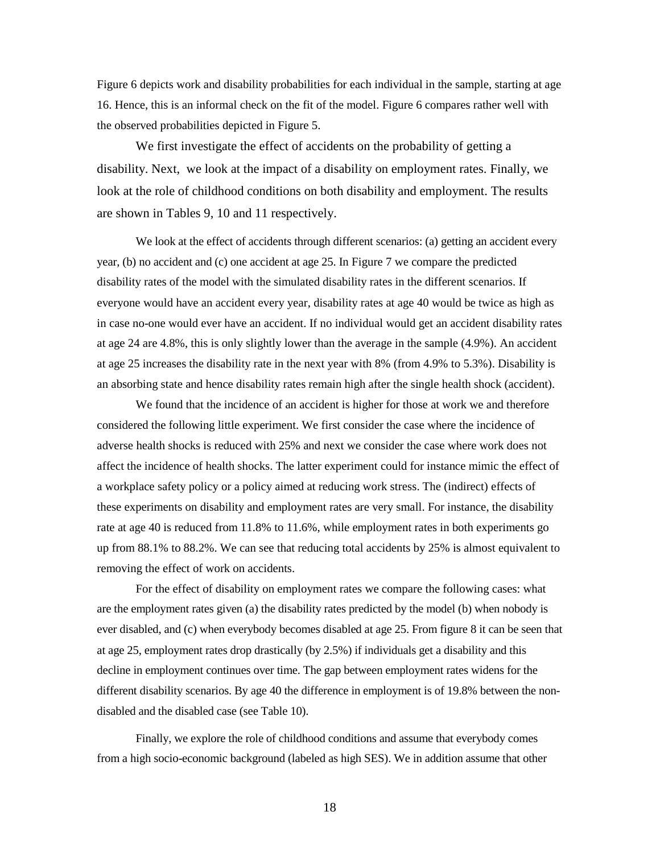Figure 6 depicts work and disability probabilities for each individual in the sample, starting at age 16. Hence, this is an informal check on the fit of the model. Figure 6 compares rather well with the observed probabilities depicted in Figure 5.

We first investigate the effect of accidents on the probability of getting a disability. Next, we look at the impact of a disability on employment rates. Finally, we look at the role of childhood conditions on both disability and employment. The results are shown in Tables 9, 10 and 11 respectively.

We look at the effect of accidents through different scenarios: (a) getting an accident every year, (b) no accident and (c) one accident at age 25. In Figure 7 we compare the predicted disability rates of the model with the simulated disability rates in the different scenarios. If everyone would have an accident every year, disability rates at age 40 would be twice as high as in case no-one would ever have an accident. If no individual would get an accident disability rates at age 24 are 4.8%, this is only slightly lower than the average in the sample (4.9%). An accident at age 25 increases the disability rate in the next year with 8% (from 4.9% to 5.3%). Disability is an absorbing state and hence disability rates remain high after the single health shock (accident).

 We found that the incidence of an accident is higher for those at work we and therefore considered the following little experiment. We first consider the case where the incidence of adverse health shocks is reduced with 25% and next we consider the case where work does not affect the incidence of health shocks. The latter experiment could for instance mimic the effect of a workplace safety policy or a policy aimed at reducing work stress. The (indirect) effects of these experiments on disability and employment rates are very small. For instance, the disability rate at age 40 is reduced from 11.8% to 11.6%, while employment rates in both experiments go up from 88.1% to 88.2%. We can see that reducing total accidents by 25% is almost equivalent to removing the effect of work on accidents.

For the effect of disability on employment rates we compare the following cases: what are the employment rates given (a) the disability rates predicted by the model (b) when nobody is ever disabled, and (c) when everybody becomes disabled at age 25. From figure 8 it can be seen that at age 25, employment rates drop drastically (by 2.5%) if individuals get a disability and this decline in employment continues over time. The gap between employment rates widens for the different disability scenarios. By age 40 the difference in employment is of 19.8% between the nondisabled and the disabled case (see Table 10).

Finally, we explore the role of childhood conditions and assume that everybody comes from a high socio-economic background (labeled as high SES). We in addition assume that other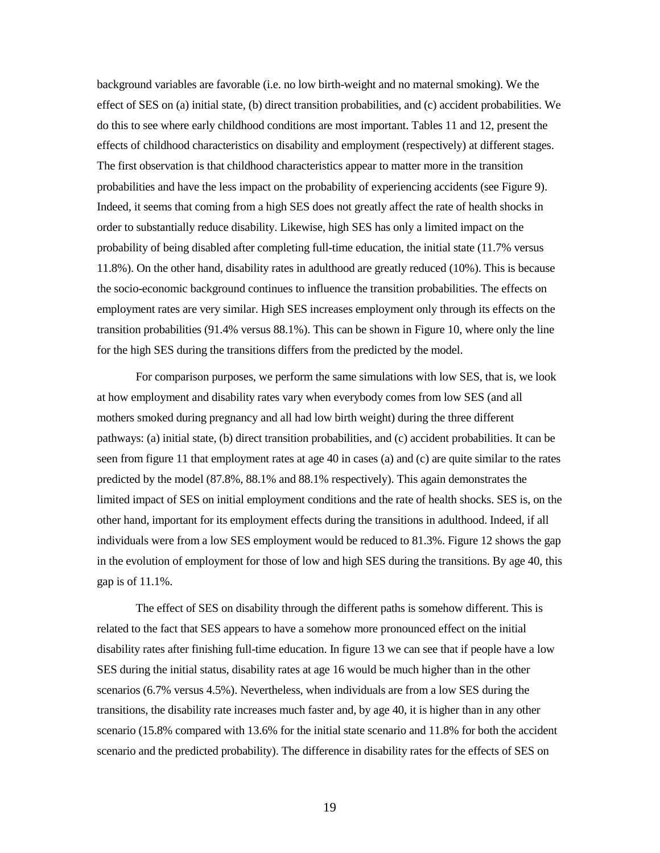background variables are favorable (i.e. no low birth-weight and no maternal smoking). We the effect of SES on (a) initial state, (b) direct transition probabilities, and (c) accident probabilities. We do this to see where early childhood conditions are most important. Tables 11 and 12, present the effects of childhood characteristics on disability and employment (respectively) at different stages. The first observation is that childhood characteristics appear to matter more in the transition probabilities and have the less impact on the probability of experiencing accidents (see Figure 9). Indeed, it seems that coming from a high SES does not greatly affect the rate of health shocks in order to substantially reduce disability. Likewise, high SES has only a limited impact on the probability of being disabled after completing full-time education, the initial state (11.7% versus 11.8%). On the other hand, disability rates in adulthood are greatly reduced (10%). This is because the socio-economic background continues to influence the transition probabilities. The effects on employment rates are very similar. High SES increases employment only through its effects on the transition probabilities (91.4% versus 88.1%). This can be shown in Figure 10, where only the line for the high SES during the transitions differs from the predicted by the model.

For comparison purposes, we perform the same simulations with low SES, that is, we look at how employment and disability rates vary when everybody comes from low SES (and all mothers smoked during pregnancy and all had low birth weight) during the three different pathways: (a) initial state, (b) direct transition probabilities, and (c) accident probabilities. It can be seen from figure 11 that employment rates at age 40 in cases (a) and (c) are quite similar to the rates predicted by the model (87.8%, 88.1% and 88.1% respectively). This again demonstrates the limited impact of SES on initial employment conditions and the rate of health shocks. SES is, on the other hand, important for its employment effects during the transitions in adulthood. Indeed, if all individuals were from a low SES employment would be reduced to 81.3%. Figure 12 shows the gap in the evolution of employment for those of low and high SES during the transitions. By age 40, this gap is of 11.1%.

The effect of SES on disability through the different paths is somehow different. This is related to the fact that SES appears to have a somehow more pronounced effect on the initial disability rates after finishing full-time education. In figure 13 we can see that if people have a low SES during the initial status, disability rates at age 16 would be much higher than in the other scenarios (6.7% versus 4.5%). Nevertheless, when individuals are from a low SES during the transitions, the disability rate increases much faster and, by age 40, it is higher than in any other scenario (15.8% compared with 13.6% for the initial state scenario and 11.8% for both the accident scenario and the predicted probability). The difference in disability rates for the effects of SES on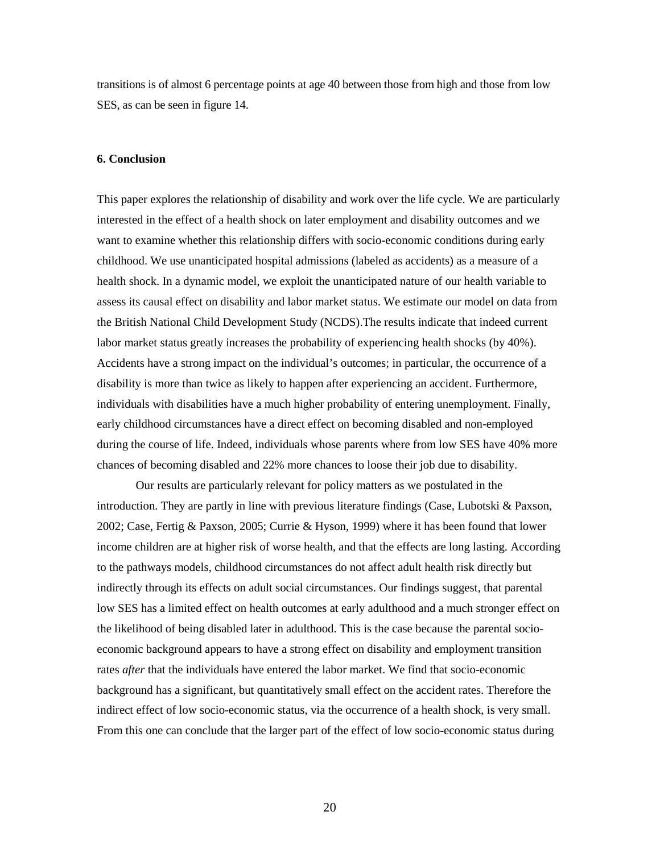transitions is of almost 6 percentage points at age 40 between those from high and those from low SES, as can be seen in figure 14.

#### **6. Conclusion**

This paper explores the relationship of disability and work over the life cycle. We are particularly interested in the effect of a health shock on later employment and disability outcomes and we want to examine whether this relationship differs with socio-economic conditions during early childhood. We use unanticipated hospital admissions (labeled as accidents) as a measure of a health shock. In a dynamic model, we exploit the unanticipated nature of our health variable to assess its causal effect on disability and labor market status. We estimate our model on data from the British National Child Development Study (NCDS).The results indicate that indeed current labor market status greatly increases the probability of experiencing health shocks (by 40%). Accidents have a strong impact on the individual's outcomes; in particular, the occurrence of a disability is more than twice as likely to happen after experiencing an accident. Furthermore, individuals with disabilities have a much higher probability of entering unemployment. Finally, early childhood circumstances have a direct effect on becoming disabled and non-employed during the course of life. Indeed, individuals whose parents where from low SES have 40% more chances of becoming disabled and 22% more chances to loose their job due to disability.

Our results are particularly relevant for policy matters as we postulated in the introduction. They are partly in line with previous literature findings (Case, Lubotski & Paxson, 2002; Case, Fertig & Paxson, 2005; Currie & Hyson, 1999) where it has been found that lower income children are at higher risk of worse health, and that the effects are long lasting. According to the pathways models, childhood circumstances do not affect adult health risk directly but indirectly through its effects on adult social circumstances. Our findings suggest, that parental low SES has a limited effect on health outcomes at early adulthood and a much stronger effect on the likelihood of being disabled later in adulthood. This is the case because the parental socioeconomic background appears to have a strong effect on disability and employment transition rates *after* that the individuals have entered the labor market. We find that socio-economic background has a significant, but quantitatively small effect on the accident rates. Therefore the indirect effect of low socio-economic status, via the occurrence of a health shock, is very small. From this one can conclude that the larger part of the effect of low socio-economic status during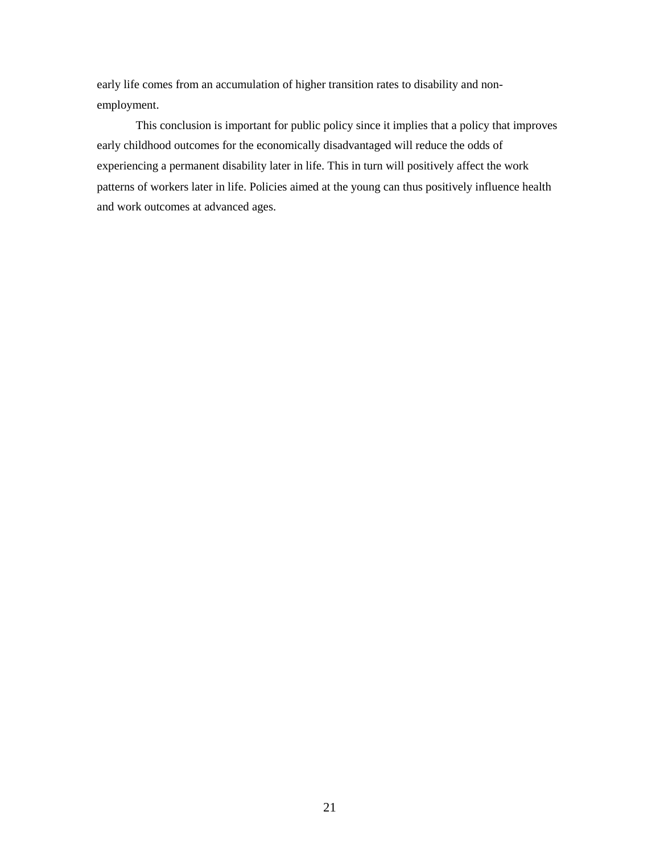early life comes from an accumulation of higher transition rates to disability and nonemployment.

This conclusion is important for public policy since it implies that a policy that improves early childhood outcomes for the economically disadvantaged will reduce the odds of experiencing a permanent disability later in life. This in turn will positively affect the work patterns of workers later in life. Policies aimed at the young can thus positively influence health and work outcomes at advanced ages.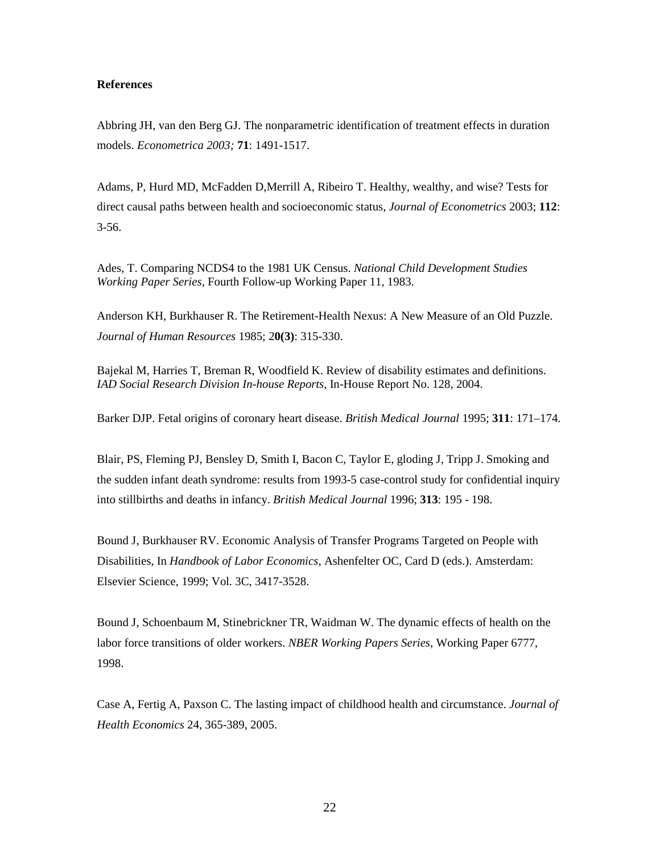# **References**

Abbring JH, van den Berg GJ. The nonparametric identification of treatment effects in duration models. *Econometrica 2003;* **71**: 1491-1517.

Adams, P, Hurd MD, McFadden D,Merrill A, Ribeiro T. Healthy, wealthy, and wise? Tests for direct causal paths between health and socioeconomic status, *Journal of Econometrics* 2003; **112**:  $3 - 56.$ 

Ades, T. Comparing NCDS4 to the 1981 UK Census. *National Child Development Studies Working Paper Series,* Fourth Follow-up Working Paper 11, 1983.

Anderson KH, Burkhauser R. The Retirement-Health Nexus: A New Measure of an Old Puzzle. *Journal of Human Resources* 1985; 2**0(3)**: 315-330.

Bajekal M, Harries T, Breman R, Woodfield K. Review of disability estimates and definitions. *IAD Social Research Division In-house Reports*, In-House Report No. 128, 2004.

Barker DJP. Fetal origins of coronary heart disease. *British Medical Journal* 1995; **311**: 171–174.

Blair, PS, Fleming PJ, Bensley D, Smith I, Bacon C, Taylor E, gloding J, Tripp J. Smoking and the sudden infant death syndrome: results from 1993-5 case-control study for confidential inquiry into stillbirths and deaths in infancy. *British Medical Journal* 1996; **313**: 195 - 198.

Bound J, Burkhauser RV. Economic Analysis of Transfer Programs Targeted on People with Disabilities, In *Handbook of Labor Economics*, Ashenfelter OC, Card D (eds.). Amsterdam: Elsevier Science, 1999; Vol. 3C, 3417-3528.

Bound J, Schoenbaum M, Stinebrickner TR, Waidman W. The dynamic effects of health on the labor force transitions of older workers. *NBER Working Papers Series*, Working Paper 6777, 1998.

Case A, Fertig A, Paxson C. The lasting impact of childhood health and circumstance. *Journal of Health Economics* 24, 365-389, 2005.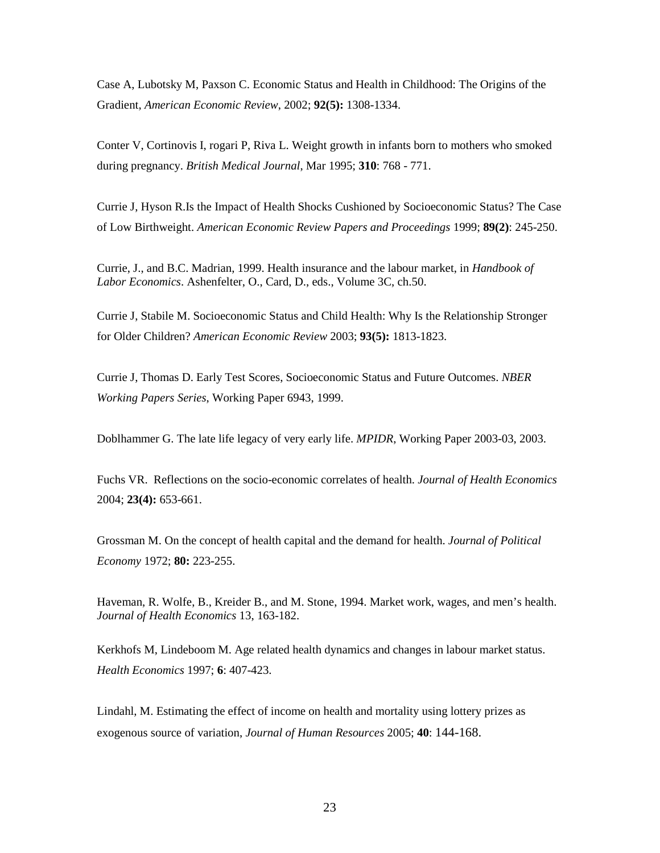Case A, Lubotsky M, Paxson C. Economic Status and Health in Childhood: The Origins of the Gradient, *American Economic Review*, 2002; **92(5):** 1308-1334.

Conter V, Cortinovis I, rogari P, Riva L. Weight growth in infants born to mothers who smoked during pregnancy. *British Medical Journal*, Mar 1995; **310**: 768 - 771.

Currie J, Hyson R.Is the Impact of Health Shocks Cushioned by Socioeconomic Status? The Case of Low Birthweight. *American Economic Review Papers and Proceedings* 1999; **89(2)**: 245-250.

Currie, J., and B.C. Madrian, 1999. Health insurance and the labour market, in *Handbook of Labor Economics*. Ashenfelter, O., Card, D., eds., Volume 3C, ch.50.

Currie J, Stabile M. Socioeconomic Status and Child Health: Why Is the Relationship Stronger for Older Children? *American Economic Review* 2003; **93(5):** 1813-1823.

Currie J, Thomas D. Early Test Scores, Socioeconomic Status and Future Outcomes. *NBER Working Papers Series*, Working Paper 6943, 1999.

Doblhammer G. The late life legacy of very early life. *MPIDR*, Working Paper 2003-03, 2003.

Fuchs VR. Reflections on the socio-economic correlates of health. *Journal of Health Economics*  2004; **23(4):** 653-661.

Grossman M. On the concept of health capital and the demand for health. *Journal of Political Economy* 1972; **80:** 223-255.

Haveman, R. Wolfe, B., Kreider B., and M. Stone, 1994. Market work, wages, and men's health. *Journal of Health Economics* 13, 163-182.

Kerkhofs M, Lindeboom M. Age related health dynamics and changes in labour market status. *Health Economics* 1997; **6**: 407-423.

Lindahl, M. Estimating the effect of income on health and mortality using lottery prizes as exogenous source of variation, *Journal of Human Resources* 2005; **40**: 144-168.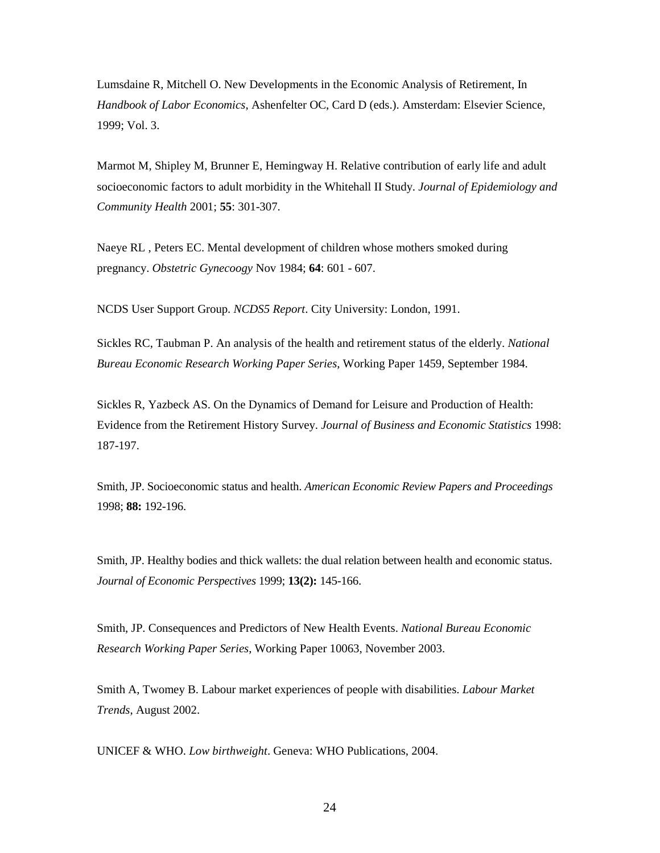Lumsdaine R, Mitchell O. New Developments in the Economic Analysis of Retirement, In *Handbook of Labor Economics*, Ashenfelter OC, Card D (eds.). Amsterdam: Elsevier Science, 1999; Vol. 3.

Marmot M, Shipley M, Brunner E, Hemingway H. Relative contribution of early life and adult socioeconomic factors to adult morbidity in the Whitehall II Study. *Journal of Epidemiology and Community Health* 2001; **55**: 301-307.

Naeye RL , Peters EC. Mental development of children whose mothers smoked during pregnancy. *Obstetric Gynecoogy* Nov 1984; **64**: 601 - 607.

NCDS User Support Group. *NCDS5 Report*. City University: London, 1991.

Sickles RC, Taubman P. An analysis of the health and retirement status of the elderly. *National Bureau Economic Research Working Paper Series*, Working Paper 1459, September 1984.

Sickles R, Yazbeck AS. On the Dynamics of Demand for Leisure and Production of Health: Evidence from the Retirement History Survey. *Journal of Business and Economic Statistics* 1998: 187-197.

Smith, JP. Socioeconomic status and health. *American Economic Review Papers and Proceedings* 1998; **88:** 192-196.

Smith, JP. Healthy bodies and thick wallets: the dual relation between health and economic status. *Journal of Economic Perspectives* 1999; **13(2):** 145-166.

Smith, JP. Consequences and Predictors of New Health Events. *National Bureau Economic Research Working Paper Series*, Working Paper 10063, November 2003.

Smith A, Twomey B. Labour market experiences of people with disabilities. *Labour Market Trends*, August 2002.

UNICEF & WHO. *Low birthweight*. Geneva: WHO Publications, 2004.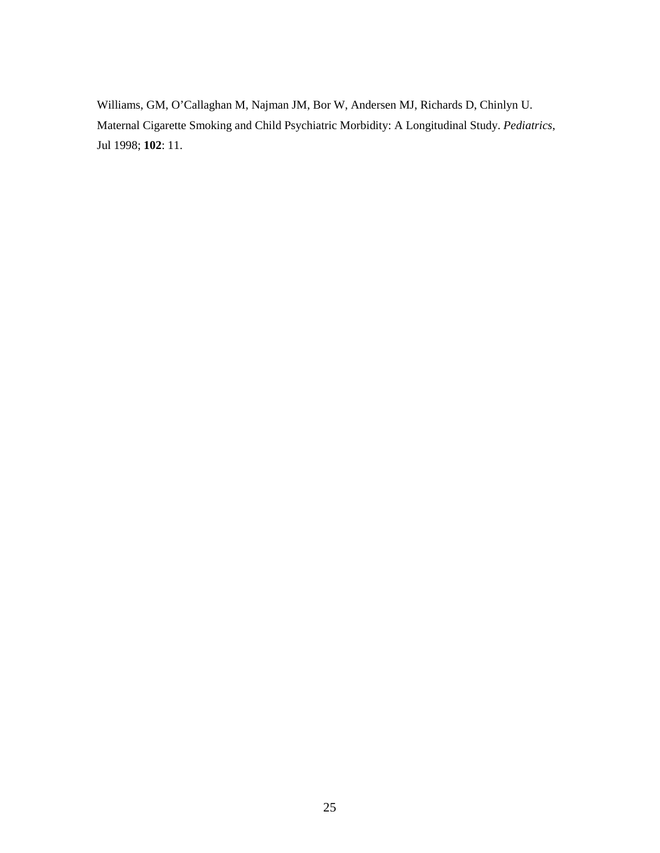Williams, GM, O'Callaghan M, Najman JM, Bor W, Andersen MJ, Richards D, Chinlyn U. Maternal Cigarette Smoking and Child Psychiatric Morbidity: A Longitudinal Study. *Pediatrics*, Jul 1998; **102**: 11.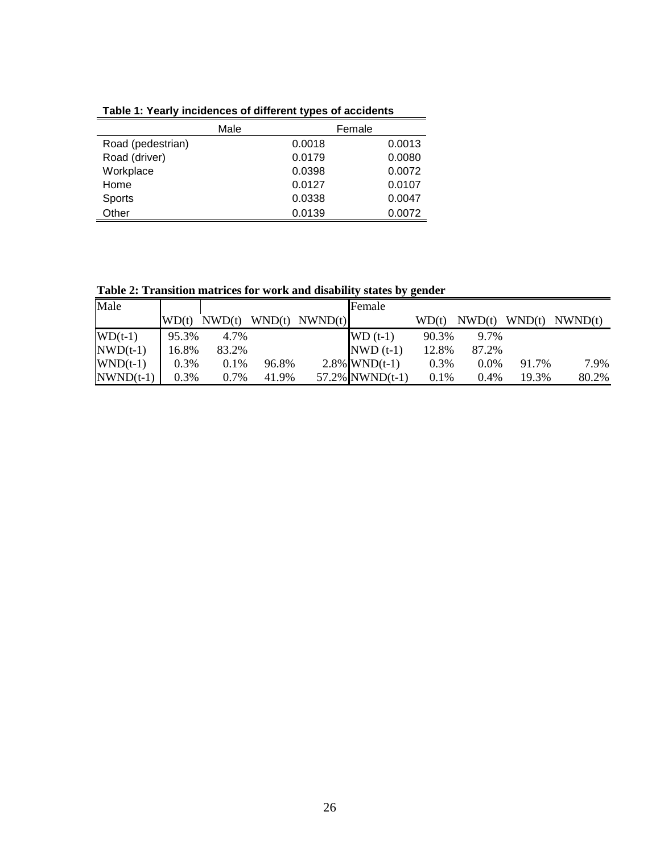|                   | Male   | Female |
|-------------------|--------|--------|
| Road (pedestrian) | 0.0018 | 0.0013 |
| Road (driver)     | 0.0179 | 0.0080 |
| Workplace         | 0.0398 | 0.0072 |
| Home              | 0.0127 | 0.0107 |
| <b>Sports</b>     | 0.0338 | 0.0047 |
| Other             | 0.0139 | 0.0072 |

**Table 1: Yearly incidences of different types of accidents**

**Table 2: Transition matrices for work and disability states by gender** 

| Male        |       |        |       |                    | Female             |         |         |        |         |
|-------------|-------|--------|-------|--------------------|--------------------|---------|---------|--------|---------|
|             | WD(t) | NWD(t) |       | $WND(t)$ $NWND(t)$ |                    | WD(t)   | NWD(t)  | WND(t) | NWND(t) |
| $WD(t-1)$   | 95.3% | 4.7%   |       |                    | $WD(t-1)$          | 90.3%   | 9.7%    |        |         |
| $NWD(t-1)$  | 16.8% | 83.2%  |       |                    | $NWD(t-1)$         | 12.8%   | 87.2%   |        |         |
| $WND(t-1)$  | 0.3%  | 0.1%   | 96.8% |                    | $2.8\%$ WND(t-1)   | 0.3%    | $0.0\%$ | 91.7%  | 7.9%    |
| $NWND(t-1)$ | 0.3%  | 0.7%   | 41.9% |                    | $57.2\%$ NWND(t-1) | $0.1\%$ | $0.4\%$ | 19.3%  | 80.2%   |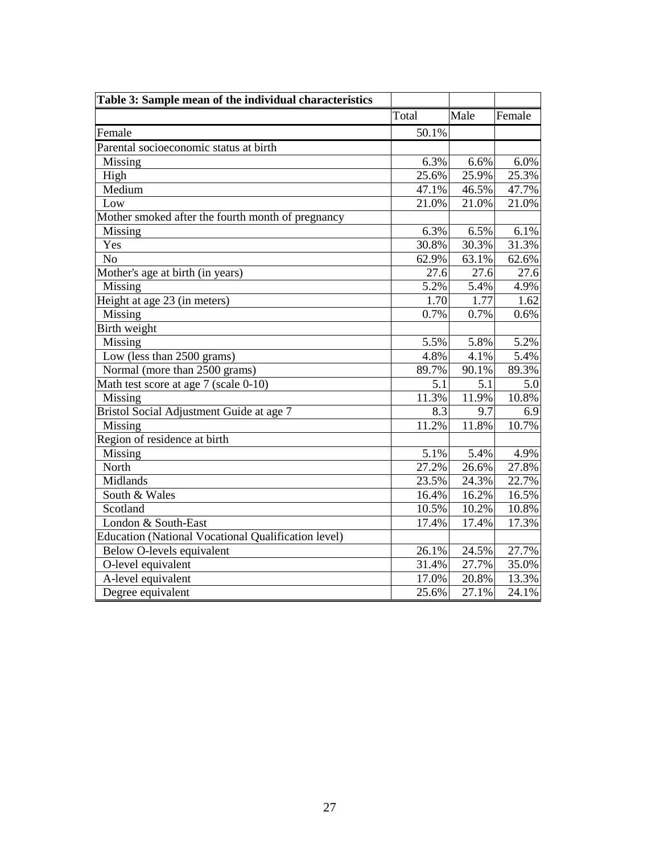| Table 3: Sample mean of the individual characteristics |       |       |        |
|--------------------------------------------------------|-------|-------|--------|
|                                                        | Total | Male  | Female |
| Female                                                 | 50.1% |       |        |
| Parental socioeconomic status at birth                 |       |       |        |
| Missing                                                | 6.3%  | 6.6%  | 6.0%   |
| High                                                   | 25.6% | 25.9% | 25.3%  |
| Medium                                                 | 47.1% | 46.5% | 47.7%  |
| Low                                                    | 21.0% | 21.0% | 21.0%  |
| Mother smoked after the fourth month of pregnancy      |       |       |        |
| Missing                                                | 6.3%  | 6.5%  | 6.1%   |
| Yes                                                    | 30.8% | 30.3% | 31.3%  |
| N <sub>o</sub>                                         | 62.9% | 63.1% | 62.6%  |
| Mother's age at birth (in years)                       | 27.6  | 27.6  | 27.6   |
| Missing                                                | 5.2%  | 5.4%  | 4.9%   |
| Height at age 23 (in meters)                           | 1.70  | 1.77  | 1.62   |
| Missing                                                | 0.7%  | 0.7%  | 0.6%   |
| Birth weight                                           |       |       |        |
| Missing                                                | 5.5%  | 5.8%  | 5.2%   |
| Low (less than 2500 grams)                             | 4.8%  | 4.1%  | 5.4%   |
| Normal (more than 2500 grams)                          | 89.7% | 90.1% | 89.3%  |
| Math test score at age 7 (scale 0-10)                  | 5.1   | 5.1   | 5.0    |
| Missing                                                | 11.3% | 11.9% | 10.8%  |
| Bristol Social Adjustment Guide at age 7               | 8.3   | 9.7   | 6.9    |
| Missing                                                | 11.2% | 11.8% | 10.7%  |
| Region of residence at birth                           |       |       |        |
| Missing                                                | 5.1%  | 5.4%  | 4.9%   |
| North                                                  | 27.2% | 26.6% | 27.8%  |
| Midlands                                               | 23.5% | 24.3% | 22.7%  |
| South & Wales                                          | 16.4% | 16.2% | 16.5%  |
| Scotland                                               | 10.5% | 10.2% | 10.8%  |
| London & South-East                                    | 17.4% | 17.4% | 17.3%  |
| Education (National Vocational Qualification level)    |       |       |        |
| Below O-levels equivalent                              | 26.1% | 24.5% | 27.7%  |
| O-level equivalent                                     | 31.4% | 27.7% | 35.0%  |
| A-level equivalent                                     | 17.0% | 20.8% | 13.3%  |
| Degree equivalent                                      | 25.6% | 27.1% | 24.1%  |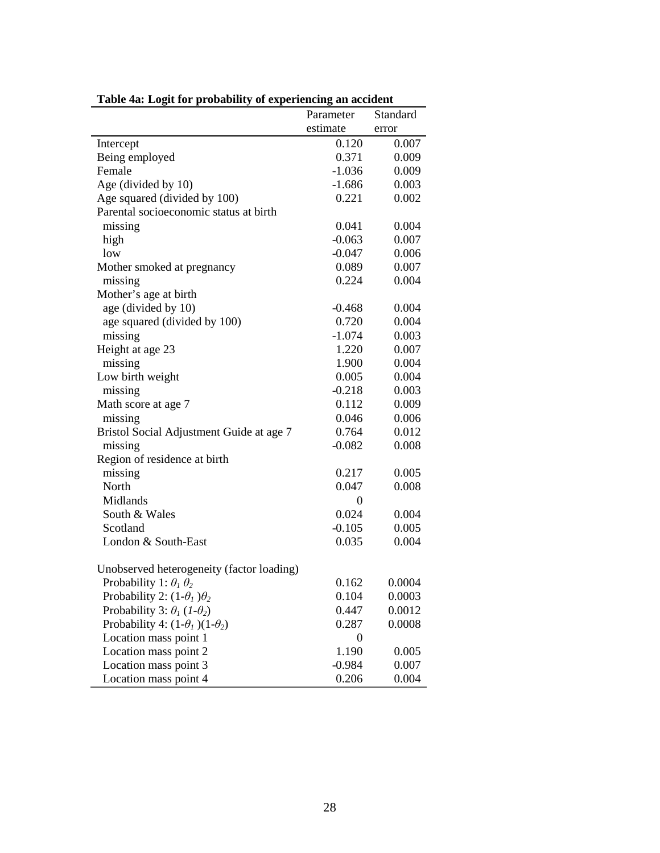| radio 4a. Logictor probability of experiencing all accident | Parameter        | Standard |
|-------------------------------------------------------------|------------------|----------|
|                                                             | estimate         | error    |
|                                                             | 0.120            | 0.007    |
| Intercept<br>Being employed                                 | 0.371            | 0.009    |
| Female                                                      | $-1.036$         | 0.009    |
| Age (divided by 10)                                         | $-1.686$         | 0.003    |
| Age squared (divided by 100)                                | 0.221            | 0.002    |
| Parental socioeconomic status at birth                      |                  |          |
| missing                                                     | 0.041            | 0.004    |
| high                                                        | $-0.063$         | 0.007    |
| low                                                         | $-0.047$         | 0.006    |
| Mother smoked at pregnancy                                  | 0.089            | 0.007    |
| missing                                                     | 0.224            | 0.004    |
| Mother's age at birth                                       |                  |          |
| age (divided by 10)                                         | $-0.468$         | 0.004    |
| age squared (divided by 100)                                | 0.720            | 0.004    |
| missing                                                     | $-1.074$         | 0.003    |
| Height at age 23                                            | 1.220            | 0.007    |
| missing                                                     | 1.900            | 0.004    |
| Low birth weight                                            | 0.005            | 0.004    |
| missing                                                     | $-0.218$         | 0.003    |
| Math score at age 7                                         | 0.112            | 0.009    |
| missing                                                     | 0.046            | 0.006    |
| Bristol Social Adjustment Guide at age 7                    | 0.764            | 0.012    |
| missing                                                     | $-0.082$         | 0.008    |
| Region of residence at birth                                |                  |          |
| missing                                                     | 0.217            | 0.005    |
| North                                                       | 0.047            | 0.008    |
| Midlands                                                    | $\overline{0}$   |          |
| South & Wales                                               | 0.024            | 0.004    |
| Scotland                                                    | $-0.105$         | 0.005    |
| London & South-East                                         | 0.035            | 0.004    |
|                                                             |                  |          |
| Unobserved heterogeneity (factor loading)                   |                  |          |
| Probability 1: $\theta_1 \theta_2$                          | 0.162            | 0.0004   |
| Probability 2: $(1-\theta_1)\theta_2$                       | 0.104            | 0.0003   |
| Probability 3: $\theta_1$ (1- $\theta_2$ )                  | 0.447            | 0.0012   |
| Probability 4: $(1-\theta_1)(1-\theta_2)$                   | 0.287            | 0.0008   |
| Location mass point 1                                       | $\boldsymbol{0}$ |          |
| Location mass point 2                                       | 1.190            | 0.005    |
| Location mass point 3                                       | $-0.984$         | 0.007    |
| Location mass point 4                                       | 0.206            | 0.004    |

| Table 4a: Logit for probability of experiencing an accident |  |  |
|-------------------------------------------------------------|--|--|
|                                                             |  |  |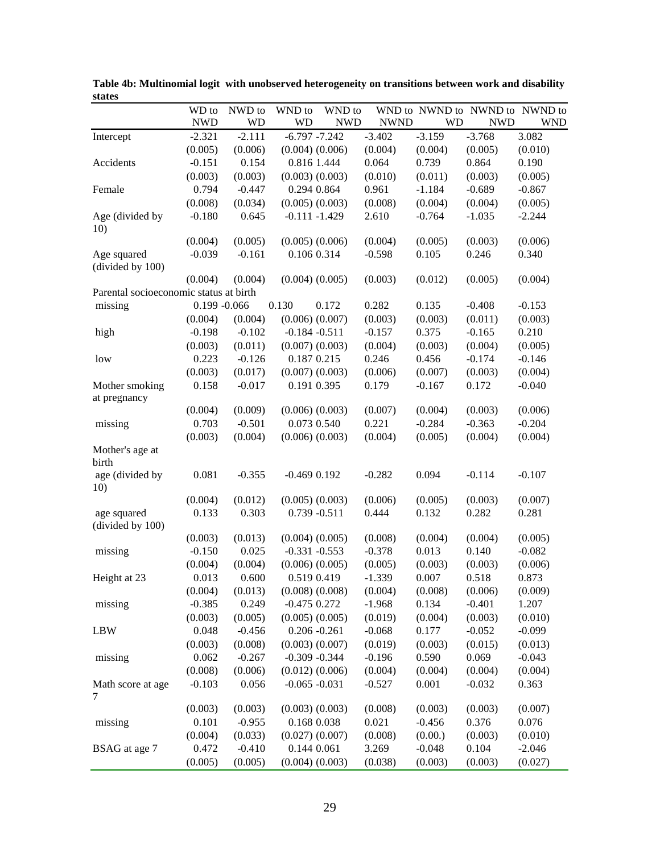| WND to<br>WND to NWND to NWND to<br>WD to<br>NWD to<br>WND to                                        | NWND to                  |
|------------------------------------------------------------------------------------------------------|--------------------------|
| <b>NWD</b><br><b>WD</b><br>WD<br><b>NWD</b><br><b>NWND</b><br><b>WD</b>                              | <b>NWD</b><br><b>WND</b> |
| $-3.159$<br>$-2.111$<br>$-6.797 -7.242$<br>$-3.402$<br>$-3.768$<br>$-2.321$<br>Intercept             | 3.082                    |
| (0.005)<br>(0.006)<br>$(0.004)$ $(0.006)$<br>(0.004)<br>(0.004)<br>(0.005)                           | (0.010)                  |
| 0.154<br>0.816 1.444<br>0.064<br>0.739<br>0.864<br>Accidents<br>$-0.151$                             | 0.190                    |
| (0.003)<br>(0.003)<br>$(0.003)$ $(0.003)$<br>(0.010)<br>(0.011)<br>(0.003)                           | (0.005)                  |
| $-0.447$<br>0.794<br>0.294 0.864<br>0.961<br>$-1.184$<br>$-0.689$<br>Female                          | $-0.867$                 |
| (0.008)<br>(0.034)<br>$(0.005)$ $(0.003)$<br>(0.008)<br>(0.004)<br>(0.004)                           | (0.005)                  |
| 2.610<br>$-0.180$<br>0.645<br>$-0.111 - 1.429$<br>$-0.764$<br>$-1.035$<br>Age (divided by            | $-2.244$                 |
| 10)                                                                                                  |                          |
| (0.005)<br>$(0.005)$ $(0.006)$<br>(0.004)<br>(0.005)<br>(0.003)<br>(0.004)                           | (0.006)                  |
| $-0.161$<br>0.106 0.314<br>$-0.598$<br>0.105<br>0.246<br>Age squared<br>$-0.039$<br>(divided by 100) | 0.340                    |
| (0.004)<br>$(0.004)$ $(0.005)$<br>(0.003)<br>(0.005)<br>(0.004)<br>(0.012)                           | (0.004)                  |
| Parental socioeconomic status at birth                                                               |                          |
| $0.199 - 0.066$<br>0.130<br>0.282<br>0.135<br>$-0.408$<br>missing<br>0.172                           | $-0.153$                 |
| (0.004)<br>$(0.006)$ $(0.007)$<br>(0.003)<br>(0.003)<br>(0.011)<br>(0.004)                           | (0.003)                  |
| 0.375<br>$-0.198$<br>$-0.102$<br>$-0.184 - 0.511$<br>$-0.157$<br>$-0.165$<br>high                    | 0.210                    |
| (0.011)<br>$(0.007)$ $(0.003)$<br>(0.004)<br>(0.003)<br>(0.004)<br>(0.003)                           | (0.005)                  |
| 0.246<br>0.223<br>$-0.126$<br>0.187 0.215<br>0.456<br>$-0.174$<br>low                                | $-0.146$                 |
| (0.003)<br>(0.017)<br>$(0.007)$ $(0.003)$<br>(0.006)<br>(0.007)<br>(0.003)                           | (0.004)                  |
| 0.158<br>$-0.017$<br>0.191 0.395<br>0.179<br>$-0.167$<br>0.172<br>Mother smoking                     | $-0.040$                 |
| at pregnancy                                                                                         |                          |
| (0.009)<br>$(0.006)$ $(0.003)$<br>(0.007)<br>(0.004)<br>(0.003)<br>(0.004)                           | (0.006)                  |
| $-0.501$<br>0.073 0.540<br>0.221<br>$-0.284$<br>$-0.363$<br>0.703<br>missing                         | $-0.204$                 |
| (0.003)<br>$(0.006)$ $(0.003)$<br>(0.004)<br>(0.004)<br>(0.005)<br>(0.004)                           | (0.004)                  |
| Mother's age at<br>birth                                                                             |                          |
| 0.081<br>$-0.355$<br>$-0.282$<br>0.094<br>$-0.114$<br>age (divided by<br>$-0.469$ $0.192$<br>10)     | $-0.107$                 |
| (0.012)<br>$(0.005)$ $(0.003)$<br>(0.006)<br>(0.005)<br>(0.003)<br>(0.004)                           | (0.007)                  |
| 0.444<br>0.282<br>0.303<br>$0.739 - 0.511$<br>0.132<br>0.133<br>age squared<br>(divided by 100)      | 0.281                    |
| (0.004)<br>(0.003)<br>(0.013)<br>$(0.004)$ $(0.005)$<br>(0.008)<br>(0.004)                           | (0.005)                  |
| 0.025<br>$-0.331 - 0.553$<br>$-0.378$<br>0.013<br>0.140<br>missing<br>$-0.150$                       | $-0.082$                 |
| (0.004)<br>(0.004)<br>$(0.006)$ $(0.005)$<br>(0.005)<br>(0.003)<br>(0.003)                           | (0.006)                  |
| 0.600<br>0.519 0.419<br>$-1.339$<br>0.007<br>0.518<br>Height at 23<br>0.013                          | 0.873                    |
| $(0.008)$ $(0.008)$<br>(0.004)<br>(0.013)<br>(0.004)<br>(0.008)<br>(0.006)                           | (0.009)                  |
| $-0.385$<br>0.249<br>$-0.475$ 0.272<br>$-1.968$<br>0.134<br>$-0.401$<br>missing                      | 1.207                    |
| (0.003)<br>(0.005)<br>$(0.005)$ $(0.005)$<br>(0.019)<br>(0.004)<br>(0.003)                           | (0.010)                  |
| $-0.456$<br>$0.206 - 0.261$<br>$-0.068$<br>0.177<br>$-0.052$<br><b>LBW</b><br>0.048                  | $-0.099$                 |
| $(0.003)$ $(0.007)$<br>(0.003)<br>(0.008)<br>(0.019)<br>(0.003)<br>(0.015)                           | (0.013)                  |
| 0.062<br>$-0.309 - 0.344$<br>$-0.196$<br>0.590<br>0.069<br>$-0.267$<br>missing                       | $-0.043$                 |
| (0.008)<br>$(0.012)$ $(0.006)$<br>(0.006)<br>(0.004)<br>(0.004)<br>(0.004)                           | (0.004)                  |
| $-0.103$<br>0.056<br>$-0.065 - 0.031$<br>0.001<br>$-0.527$<br>$-0.032$<br>Math score at age          | 0.363                    |
| 7                                                                                                    |                          |
| (0.003)<br>$(0.003)$ $(0.003)$<br>(0.003)<br>(0.008)<br>(0.003)<br>(0.003)                           | (0.007)                  |
| 0.101<br>$-0.955$<br>0.168 0.038<br>0.021<br>0.376<br>$-0.456$<br>missing                            | 0.076                    |
| (0.004)<br>(0.033)<br>$(0.027)$ $(0.007)$<br>(0.008)<br>(0.00.)<br>(0.003)                           | (0.010)                  |
| 0.472<br>0.144 0.061<br>3.269<br>0.104<br>BSAG at age 7<br>$-0.410$<br>$-0.048$                      | $-2.046$                 |
| $(0.004)$ $(0.003)$<br>(0.005)<br>(0.005)<br>(0.038)<br>(0.003)<br>(0.003)                           | (0.027)                  |

**Table 4b: Multinomial logit with unobserved heterogeneity on transitions between work and disability states**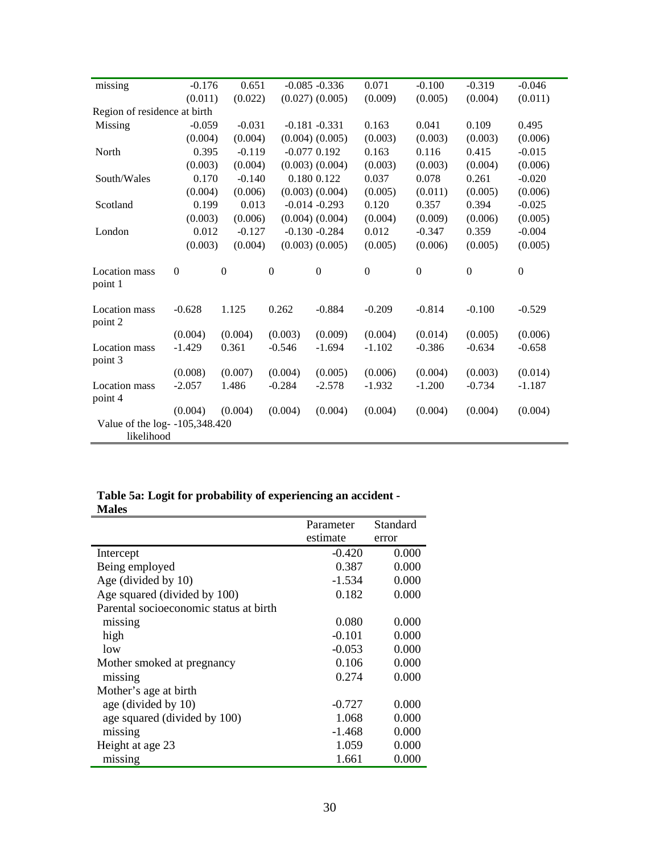|                              | 0.651              |                                                                                                                                                                         |                                                                                                                        | 0.071                                                                                                                                                                                                                                                                         | $-0.100$         | $-0.319$       | $-0.046$           |
|------------------------------|--------------------|-------------------------------------------------------------------------------------------------------------------------------------------------------------------------|------------------------------------------------------------------------------------------------------------------------|-------------------------------------------------------------------------------------------------------------------------------------------------------------------------------------------------------------------------------------------------------------------------------|------------------|----------------|--------------------|
|                              |                    |                                                                                                                                                                         |                                                                                                                        | (0.009)                                                                                                                                                                                                                                                                       | (0.005)          | (0.004)        | (0.011)            |
| Region of residence at birth |                    |                                                                                                                                                                         |                                                                                                                        |                                                                                                                                                                                                                                                                               |                  |                |                    |
|                              | $-0.031$           |                                                                                                                                                                         |                                                                                                                        | 0.163                                                                                                                                                                                                                                                                         | 0.041            | 0.109          | 0.495              |
|                              |                    |                                                                                                                                                                         |                                                                                                                        | (0.003)                                                                                                                                                                                                                                                                       | (0.003)          | (0.003)        | (0.006)            |
|                              |                    |                                                                                                                                                                         |                                                                                                                        | 0.163                                                                                                                                                                                                                                                                         | 0.116            | 0.415          | $-0.015$           |
|                              |                    |                                                                                                                                                                         |                                                                                                                        | (0.003)                                                                                                                                                                                                                                                                       | (0.003)          | (0.004)        | (0.006)            |
|                              |                    |                                                                                                                                                                         |                                                                                                                        | 0.037                                                                                                                                                                                                                                                                         | 0.078            | 0.261          | $-0.020$           |
|                              |                    |                                                                                                                                                                         |                                                                                                                        | (0.005)                                                                                                                                                                                                                                                                       | (0.011)          | (0.005)        | (0.006)            |
|                              |                    |                                                                                                                                                                         |                                                                                                                        | 0.120                                                                                                                                                                                                                                                                         | 0.357            | 0.394          | $-0.025$           |
|                              |                    |                                                                                                                                                                         |                                                                                                                        | (0.004)                                                                                                                                                                                                                                                                       | (0.009)          | (0.006)        | (0.005)            |
|                              |                    |                                                                                                                                                                         |                                                                                                                        | 0.012                                                                                                                                                                                                                                                                         | $-0.347$         | 0.359          | $-0.004$           |
|                              |                    |                                                                                                                                                                         |                                                                                                                        | (0.005)                                                                                                                                                                                                                                                                       | (0.006)          | (0.005)        | (0.005)            |
| $\boldsymbol{0}$             | $\overline{0}$     | $\boldsymbol{0}$                                                                                                                                                        | $\boldsymbol{0}$                                                                                                       | $\boldsymbol{0}$                                                                                                                                                                                                                                                              | $\boldsymbol{0}$ | $\overline{0}$ | $\boldsymbol{0}$   |
| $-0.628$                     | 1.125              | 0.262                                                                                                                                                                   | $-0.884$                                                                                                               | $-0.209$                                                                                                                                                                                                                                                                      | $-0.814$         | $-0.100$       | $-0.529$           |
| (0.004)                      | (0.004)            | (0.003)                                                                                                                                                                 | (0.009)                                                                                                                | (0.004)                                                                                                                                                                                                                                                                       | (0.014)          | (0.005)        | (0.006)            |
| $-1.429$                     | 0.361              | $-0.546$                                                                                                                                                                | $-1.694$                                                                                                               | $-1.102$                                                                                                                                                                                                                                                                      | $-0.386$         | $-0.634$       | $-0.658$           |
|                              | (0.007)            | (0.004)                                                                                                                                                                 |                                                                                                                        | (0.006)                                                                                                                                                                                                                                                                       | (0.004)          |                | (0.014)            |
| $-2.057$                     | 1.486              | $-0.284$                                                                                                                                                                | $-2.578$                                                                                                               | $-1.932$                                                                                                                                                                                                                                                                      | $-1.200$         | $-0.734$       | $-1.187$           |
|                              |                    |                                                                                                                                                                         |                                                                                                                        |                                                                                                                                                                                                                                                                               |                  |                | (0.004)            |
|                              |                    |                                                                                                                                                                         |                                                                                                                        |                                                                                                                                                                                                                                                                               |                  |                |                    |
|                              |                    |                                                                                                                                                                         |                                                                                                                        |                                                                                                                                                                                                                                                                               |                  |                |                    |
|                              | (0.008)<br>(0.004) | $-0.176$<br>(0.011)<br>$-0.059$<br>(0.004)<br>0.395<br>(0.003)<br>0.170<br>(0.004)<br>0.199<br>(0.003)<br>0.012<br>(0.003)<br>(0.004)<br>Value of the log- -105,348.420 | (0.022)<br>(0.004)<br>$-0.119$<br>(0.004)<br>$-0.140$<br>(0.006)<br>0.013<br>(0.006)<br>$-0.127$<br>(0.004)<br>(0.004) | $-0.085 - 0.336$<br>$(0.027)$ $(0.005)$<br>$-0.181 - 0.331$<br>$(0.004)$ $(0.005)$<br>$-0.077$ 0.192<br>$(0.003)$ $(0.004)$<br>0.180 0.122<br>$(0.003)$ $(0.004)$<br>$-0.014 - 0.293$<br>$(0.004)$ $(0.004)$<br>$-0.130 - 0.284$<br>$(0.003)$ $(0.005)$<br>(0.005)<br>(0.004) | (0.004)          | (0.004)        | (0.003)<br>(0.004) |

# **Table 5a: Logit for probability of experiencing an accident - Males**

|                                        | Parameter | Standard |
|----------------------------------------|-----------|----------|
|                                        | estimate  | error    |
| Intercept                              | $-0.420$  | 0.000    |
| Being employed                         | 0.387     | 0.000    |
| Age (divided by 10)                    | $-1.534$  | 0.000    |
| Age squared (divided by 100)           | 0.182     | 0.000    |
| Parental socioeconomic status at birth |           |          |
| missing                                | 0.080     | 0.000    |
| high                                   | $-0.101$  | 0.000    |
| 1 <sub>0</sub>                         | $-0.053$  | 0.000    |
| Mother smoked at pregnancy             | 0.106     | 0.000    |
| missing                                | 0.274     | 0.000    |
| Mother's age at birth                  |           |          |
| age (divided by 10)                    | $-0.727$  | 0.000    |
| age squared (divided by 100)           | 1.068     | 0.000    |
| missing                                | $-1.468$  | 0.000    |
| Height at age 23                       | 1.059     | 0.000    |
| missing                                | 1.661     | 0.000    |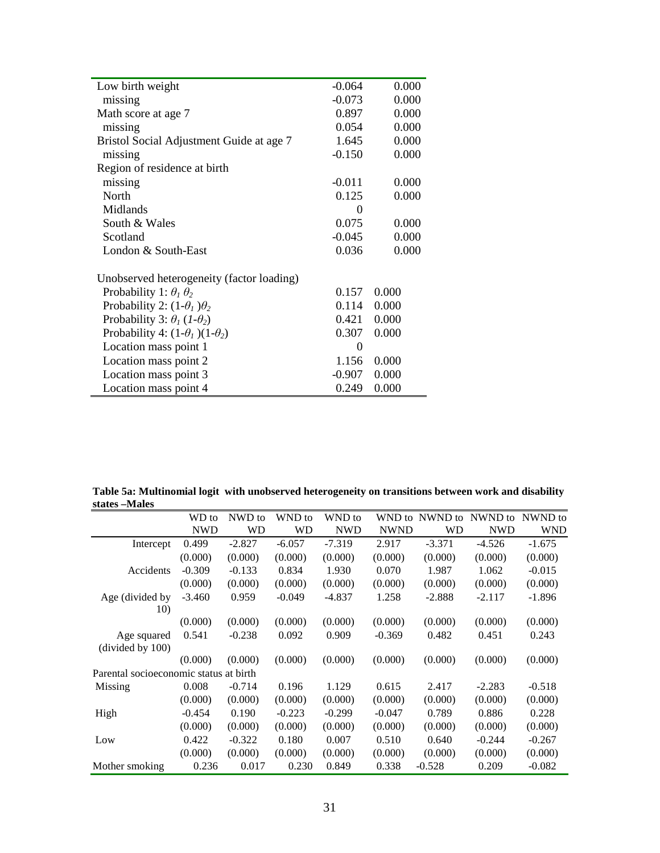|          | 0.000                |
|----------|----------------------|
|          | 0.000                |
| 0.897    | 0.000                |
| 0.054    | 0.000                |
| 1.645    | 0.000                |
| $-0.150$ | 0.000                |
|          |                      |
| $-0.011$ | 0.000                |
| 0.125    | 0.000                |
| 0        |                      |
| 0.075    | 0.000                |
| $-0.045$ | 0.000                |
| 0.036    | 0.000                |
|          |                      |
| 0.157    | 0.000                |
| 0.114    | 0.000                |
| 0.421    | 0.000                |
| 0.307    | 0.000                |
| $\theta$ |                      |
| 1.156    | 0.000                |
| $-0.907$ | 0.000                |
| 0.249    | 0.000                |
|          | $-0.064$<br>$-0.073$ |

**Table 5a: Multinomial logit with unobserved heterogeneity on transitions between work and disability states –Males** 

|                                        | WD to      | NWD to   | WND to    | WND to     | WND to      | NWND to  | NWND to    | NWND to    |
|----------------------------------------|------------|----------|-----------|------------|-------------|----------|------------|------------|
|                                        | <b>NWD</b> | WD       | <b>WD</b> | <b>NWD</b> | <b>NWND</b> | WD       | <b>NWD</b> | <b>WND</b> |
| Intercept                              | 0.499      | $-2.827$ | $-6.057$  | $-7.319$   | 2.917       | $-3.371$ | $-4.526$   | $-1.675$   |
|                                        | (0.000)    | (0.000)  | (0.000)   | (0.000)    | (0.000)     | (0.000)  | (0.000)    | (0.000)    |
| Accidents                              | $-0.309$   | $-0.133$ | 0.834     | 1.930      | 0.070       | 1.987    | 1.062      | $-0.015$   |
|                                        | (0.000)    | (0.000)  | (0.000)   | (0.000)    | (0.000)     | (0.000)  | (0.000)    | (0.000)    |
| Age (divided by                        | $-3.460$   | 0.959    | $-0.049$  | $-4.837$   | 1.258       | $-2.888$ | $-2.117$   | $-1.896$   |
| 10)                                    |            |          |           |            |             |          |            |            |
|                                        | (0.000)    | (0.000)  | (0.000)   | (0.000)    | (0.000)     | (0.000)  | (0.000)    | (0.000)    |
| Age squared                            | 0.541      | $-0.238$ | 0.092     | 0.909      | $-0.369$    | 0.482    | 0.451      | 0.243      |
| $\left(\text{divided by } 100\right)$  |            |          |           |            |             |          |            |            |
|                                        | (0.000)    | (0.000)  | (0.000)   | (0.000)    | (0.000)     | (0.000)  | (0.000)    | (0.000)    |
| Parental socioeconomic status at birth |            |          |           |            |             |          |            |            |
| Missing                                | 0.008      | $-0.714$ | 0.196     | 1.129      | 0.615       | 2.417    | $-2.283$   | $-0.518$   |
|                                        | (0.000)    | (0.000)  | (0.000)   | (0.000)    | (0.000)     | (0.000)  | (0.000)    | (0.000)    |
| High                                   | $-0.454$   | 0.190    | $-0.223$  | $-0.299$   | $-0.047$    | 0.789    | 0.886      | 0.228      |
|                                        | (0.000)    | (0.000)  | (0.000)   | (0.000)    | (0.000)     | (0.000)  | (0.000)    | (0.000)    |
| Low                                    | 0.422      | $-0.322$ | 0.180     | 0.007      | 0.510       | 0.640    | $-0.244$   | $-0.267$   |
|                                        | (0.000)    | (0.000)  | (0.000)   | (0.000)    | (0.000)     | (0.000)  | (0.000)    | (0.000)    |
| Mother smoking                         | 0.236      | 0.017    | 0.230     | 0.849      | 0.338       | $-0.528$ | 0.209      | $-0.082$   |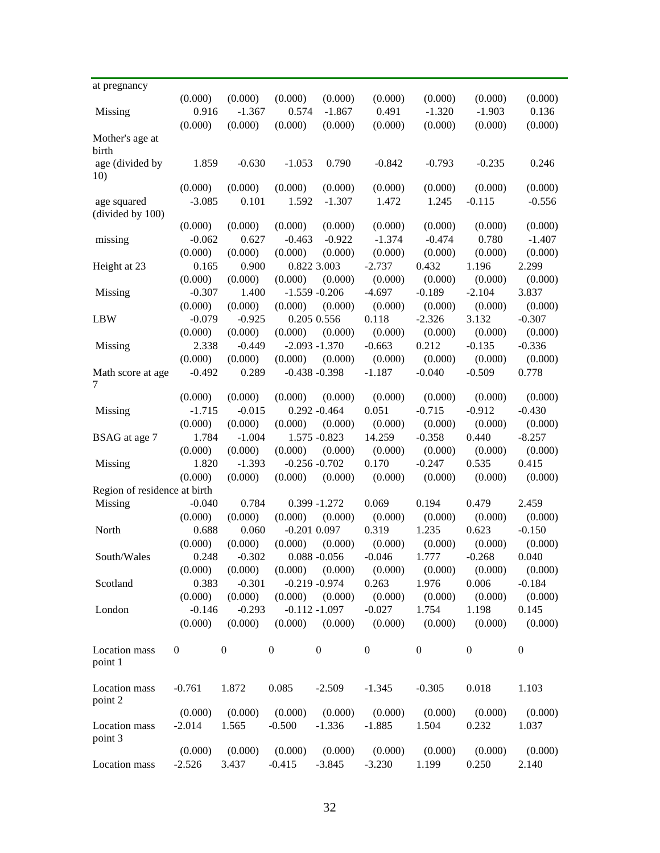| at pregnancy                    |                |                               |                        |                               |                                |                |                  |                  |
|---------------------------------|----------------|-------------------------------|------------------------|-------------------------------|--------------------------------|----------------|------------------|------------------|
|                                 | (0.000)        | (0.000)                       | (0.000)                | (0.000)                       | (0.000)                        | (0.000)        | (0.000)          | (0.000)          |
| Missing                         | 0.916          | $-1.367$                      | 0.574                  | $-1.867$                      | 0.491                          | $-1.320$       | $-1.903$         | 0.136            |
|                                 | (0.000)        | (0.000)                       | (0.000)                | (0.000)                       | (0.000)                        | (0.000)        | (0.000)          | (0.000)          |
| Mother's age at<br>birth        |                |                               |                        |                               |                                |                |                  |                  |
| age (divided by<br>10)          | 1.859          | $-0.630$                      | $-1.053$               | 0.790                         | $-0.842$                       | $-0.793$       | $-0.235$         | 0.246            |
|                                 | (0.000)        | (0.000)                       | (0.000)                | (0.000)                       | (0.000)                        | (0.000)        | (0.000)          | (0.000)          |
| age squared<br>(divided by 100) | $-3.085$       | 0.101                         | 1.592                  | $-1.307$                      | 1.472                          | 1.245          | $-0.115$         | $-0.556$         |
|                                 | (0.000)        | (0.000)                       | (0.000)                | (0.000)                       | (0.000)                        | (0.000)        | (0.000)          | (0.000)          |
| missing                         | $-0.062$       | 0.627                         | $-0.463$               | $-0.922$                      | $-1.374$                       | $-0.474$       | 0.780            | $-1.407$         |
|                                 | (0.000)        | (0.000)                       | (0.000)                | (0.000)                       | (0.000)                        | (0.000)        | (0.000)          | (0.000)          |
| Height at 23                    | 0.165          | 0.900                         |                        | 0.822 3.003                   | $-2.737$                       | 0.432          | 1.196            | 2.299            |
|                                 | (0.000)        | (0.000)                       | (0.000)                | (0.000)                       | (0.000)                        | (0.000)        | (0.000)          | (0.000)          |
| Missing                         | $-0.307$       | 1.400                         |                        | $-1.559 - 0.206$              | $-4.697$                       | $-0.189$       | $-2.104$         | 3.837            |
|                                 | (0.000)        | (0.000)                       | (0.000)                | (0.000)                       | (0.000)                        | (0.000)        | (0.000)          | (0.000)          |
| <b>LBW</b>                      | $-0.079$       | $-0.925$                      |                        | 0.205 0.556                   | 0.118                          | $-2.326$       | 3.132            | $-0.307$         |
|                                 | (0.000)        | (0.000)                       | (0.000)                | (0.000)                       | (0.000)                        | (0.000)        | (0.000)          | (0.000)          |
| Missing                         | 2.338          | $-0.449$                      |                        | $-2.093 - 1.370$              | $-0.663$                       | 0.212          | $-0.135$         | $-0.336$         |
|                                 | (0.000)        | (0.000)                       | (0.000)                | (0.000)                       | (0.000)                        | (0.000)        | (0.000)          | (0.000)          |
| Math score at age<br>7          | $-0.492$       | 0.289                         |                        | $-0.438 - 0.398$              | $-1.187$                       | $-0.040$       | $-0.509$         | 0.778            |
|                                 | (0.000)        | (0.000)                       | (0.000)                | (0.000)                       | (0.000)                        | (0.000)        | (0.000)          | (0.000)          |
| Missing                         | $-1.715$       | $-0.015$                      |                        | $0.292 - 0.464$               | 0.051                          | $-0.715$       | $-0.912$         | $-0.430$         |
|                                 | (0.000)        | (0.000)                       | (0.000)                | (0.000)                       | (0.000)                        | (0.000)        | (0.000)          | (0.000)          |
| BSAG at age 7                   | 1.784          | $-1.004$                      |                        | 1.575 -0.823                  | 14.259                         | $-0.358$       | 0.440            | $-8.257$         |
|                                 | (0.000)        | (0.000)                       | (0.000)                | (0.000)                       | (0.000)                        | (0.000)        | (0.000)          | (0.000)          |
| Missing                         | 1.820          | $-1.393$                      |                        | $-0.256 - 0.702$              | 0.170                          | $-0.247$       | 0.535            | 0.415            |
|                                 | (0.000)        | (0.000)                       | (0.000)                | (0.000)                       | (0.000)                        | (0.000)        | (0.000)          | (0.000)          |
| Region of residence at birth    |                |                               |                        |                               |                                |                |                  |                  |
| <b>Missing</b>                  | $-0.040$       | 0.784                         |                        | $0.399 - 1.272$               | 0.069                          | 0.194          | 0.479            | 2.459            |
|                                 | (0.000)        | (0.000)                       | (0.000)                | (0.000)                       | (0.000)                        | (0.000)        | (0.000)          | (0.000)          |
| North                           | 0.688          | 0.060                         |                        | $-0.201$ $0.097$              | 0.319                          | 1.235          | 0.623            | $-0.150$         |
|                                 | (0.000)        | (0.000)                       | (0.000)                | (0.000)                       | (0.000)                        | (0.000)        | (0.000)          | (0.000)          |
| South/Wales                     |                | $0.248 - 0.302$               |                        |                               | $0.088 - 0.056$ $-0.046$ 1.777 |                | $-0.268$         | 0.040            |
|                                 | (0.000)        |                               |                        | $(0.000)$ $(0.000)$ $(0.000)$ | (0.000)                        | (0.000)        | (0.000)          | (0.000)          |
| Scotland                        | 0.383          |                               | $-0.301 -0.219 -0.974$ |                               | 0.263                          | 1.976          | 0.006            | $-0.184$         |
|                                 | (0.000)        | (0.000)                       |                        | $(0.000)$ $(0.000)$           | (0.000)                        | (0.000)        | (0.000)          | (0.000)          |
| London                          | $-0.146$       |                               | $-0.293 -0.112 -1.097$ |                               | $-0.027$                       | 1.754          | 1.198            | 0.145            |
|                                 | (0.000)        | (0.000)                       |                        | $(0.000)$ $(0.000)$           | (0.000)                        | (0.000)        | (0.000)          | (0.000)          |
| Location mass<br>point 1        | $\overline{0}$ | $\boldsymbol{0}$              | $\mathbf{0}$           | $\overline{0}$                | $\boldsymbol{0}$               | $\overline{0}$ | $\boldsymbol{0}$ | $\boldsymbol{0}$ |
| Location mass<br>point 2        | $-0.761$       | 1.872                         | 0.085                  | $-2.509$                      | $-1.345$                       | $-0.305$       | 0.018            | 1.103            |
|                                 | (0.000)        | $(0.000)$ $(0.000)$ $(0.000)$ |                        |                               | (0.000)                        | (0.000)        | (0.000)          | (0.000)          |
| Location mass<br>point 3        | $-2.014$       | 1.565                         | $-0.500$               | $-1.336$                      | $-1.885$                       | 1.504          | 0.232            | 1.037            |
|                                 | (0.000)        | (0.000)                       | (0.000)                | (0.000)                       | (0.000)                        | (0.000)        | (0.000)          | (0.000)          |
| Location mass                   | $-2.526$       | 3.437                         | $-0.415$               | $-3.845$                      | $-3.230$                       | 1.199          | 0.250            | 2.140            |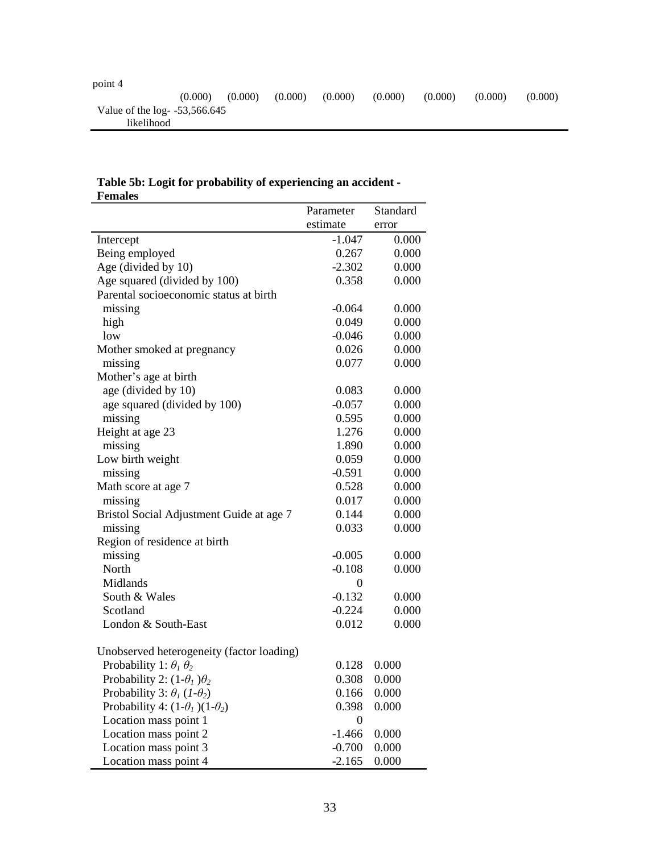| point 4                         |         |         |         |         |         |         |         |         |
|---------------------------------|---------|---------|---------|---------|---------|---------|---------|---------|
|                                 | (0.000) | (0.000) | (0.000) | (0.000) | (0.000) | (0.000) | (0.000) | (0.000) |
| Value of the log- $-53,566.645$ |         |         |         |         |         |         |         |         |
| likelihood                      |         |         |         |         |         |         |         |         |

# **Table 5b: Logit for probability of experiencing an accident - Females**

|                                            | Parameter        | Standard |
|--------------------------------------------|------------------|----------|
|                                            | estimate         | error    |
| Intercept                                  | -1.047           | 0.000    |
| Being employed                             | 0.267            | 0.000    |
| Age (divided by 10)                        | $-2.302$         | 0.000    |
| Age squared (divided by 100)               | 0.358            | 0.000    |
| Parental socioeconomic status at birth     |                  |          |
| missing                                    | $-0.064$         | 0.000    |
| high                                       | 0.049            | 0.000    |
| low                                        | $-0.046$         | 0.000    |
| Mother smoked at pregnancy                 | 0.026            | 0.000    |
| missing                                    | 0.077            | 0.000    |
| Mother's age at birth                      |                  |          |
| age (divided by 10)                        | 0.083            | 0.000    |
| age squared (divided by 100)               | $-0.057$         | 0.000    |
| missing                                    | 0.595            | 0.000    |
| Height at age 23                           | 1.276            | 0.000    |
| missing                                    | 1.890            | 0.000    |
| Low birth weight                           | 0.059            | 0.000    |
| missing                                    | $-0.591$         | 0.000    |
| Math score at age 7                        | 0.528            | 0.000    |
| missing                                    | 0.017            | 0.000    |
| Bristol Social Adjustment Guide at age 7   | 0.144            | 0.000    |
| missing                                    | 0.033            | 0.000    |
| Region of residence at birth               |                  |          |
| missing                                    | $-0.005$         | 0.000    |
| North                                      | $-0.108$         | 0.000    |
| Midlands                                   | $\boldsymbol{0}$ |          |
| South & Wales                              | $-0.132$         | 0.000    |
| Scotland                                   | $-0.224$         | 0.000    |
| London & South-East                        | 0.012            | 0.000    |
|                                            |                  |          |
| Unobserved heterogeneity (factor loading)  |                  |          |
| Probability 1: $\theta_1 \theta_2$         | 0.128            | 0.000    |
| Probability 2: $(1-\theta_1)\theta_2$      | 0.308            | 0.000    |
| Probability 3: $\theta_1$ (1- $\theta_2$ ) | 0.166            | 0.000    |
| Probability 4: $(1-\theta_1)(1-\theta_2)$  | 0.398            | 0.000    |
| Location mass point 1                      | $\boldsymbol{0}$ |          |
| Location mass point 2                      | $-1.466$         | 0.000    |
| Location mass point 3                      | $-0.700$         | 0.000    |
| Location mass point 4                      | $-2.165$         | 0.000    |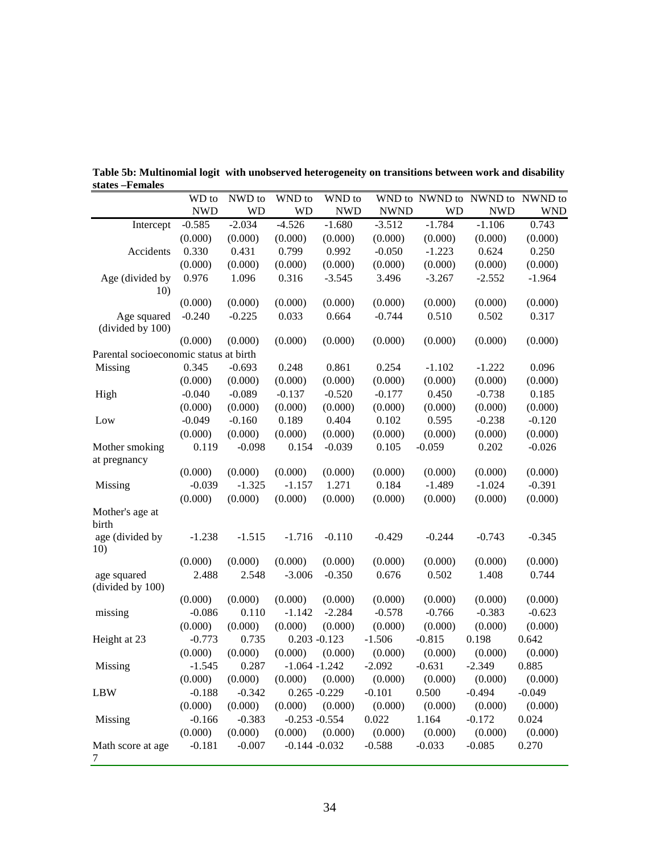|                                        | WD to      | NWD to    | WND to           | WND to     |             |           | WND to NWND to NWND to | NWND to    |
|----------------------------------------|------------|-----------|------------------|------------|-------------|-----------|------------------------|------------|
|                                        | <b>NWD</b> | <b>WD</b> | <b>WD</b>        | <b>NWD</b> | <b>NWND</b> | <b>WD</b> | <b>NWD</b>             | <b>WND</b> |
| Intercept                              | $-0.585$   | $-2.034$  | $-4.526$         | $-1.680$   | $-3.512$    | $-1.784$  | $-1.106$               | 0.743      |
|                                        | (0.000)    | (0.000)   | (0.000)          | (0.000)    | (0.000)     | (0.000)   | (0.000)                | (0.000)    |
| Accidents                              | 0.330      | 0.431     | 0.799            | 0.992      | $-0.050$    | $-1.223$  | 0.624                  | 0.250      |
|                                        | (0.000)    | (0.000)   | (0.000)          | (0.000)    | (0.000)     | (0.000)   | (0.000)                | (0.000)    |
| Age (divided by                        | 0.976      | 1.096     | 0.316            | $-3.545$   | 3.496       | $-3.267$  | $-2.552$               | $-1.964$   |
| 10)                                    |            |           |                  |            |             |           |                        |            |
|                                        | (0.000)    | (0.000)   | (0.000)          | (0.000)    | (0.000)     | (0.000)   | (0.000)                | (0.000)    |
| Age squared                            | $-0.240$   | $-0.225$  | 0.033            | 0.664      | $-0.744$    | 0.510     | 0.502                  | 0.317      |
| (divided by 100)                       |            |           |                  |            |             |           |                        |            |
|                                        | (0.000)    | (0.000)   | (0.000)          | (0.000)    | (0.000)     | (0.000)   | (0.000)                | (0.000)    |
| Parental socioeconomic status at birth |            |           |                  |            |             |           |                        |            |
| Missing                                | 0.345      | $-0.693$  | 0.248            | 0.861      | 0.254       | $-1.102$  | $-1.222$               | 0.096      |
|                                        | (0.000)    | (0.000)   | (0.000)          | (0.000)    | (0.000)     | (0.000)   | (0.000)                | (0.000)    |
| High                                   | $-0.040$   | $-0.089$  | $-0.137$         | $-0.520$   | $-0.177$    | 0.450     | $-0.738$               | 0.185      |
|                                        | (0.000)    | (0.000)   | (0.000)          | (0.000)    | (0.000)     | (0.000)   | (0.000)                | (0.000)    |
| Low                                    | $-0.049$   | $-0.160$  | 0.189            | 0.404      | 0.102       | 0.595     | $-0.238$               | $-0.120$   |
|                                        | (0.000)    | (0.000)   | (0.000)          | (0.000)    | (0.000)     | (0.000)   | (0.000)                | (0.000)    |
| Mother smoking                         | 0.119      | $-0.098$  | 0.154            | $-0.039$   | 0.105       | $-0.059$  | 0.202                  | $-0.026$   |
| at pregnancy                           |            |           |                  |            |             |           |                        |            |
|                                        | (0.000)    | (0.000)   | (0.000)          | (0.000)    | (0.000)     | (0.000)   | (0.000)                | (0.000)    |
| Missing                                | $-0.039$   | $-1.325$  | $-1.157$         | 1.271      | 0.184       | $-1.489$  | $-1.024$               | $-0.391$   |
|                                        | (0.000)    | (0.000)   | (0.000)          | (0.000)    | (0.000)     | (0.000)   | (0.000)                | (0.000)    |
| Mother's age at                        |            |           |                  |            |             |           |                        |            |
| birth                                  |            |           |                  |            |             |           |                        |            |
| age (divided by<br>10)                 | $-1.238$   | $-1.515$  | $-1.716$         | $-0.110$   | $-0.429$    | $-0.244$  | $-0.743$               | $-0.345$   |
|                                        | (0.000)    | (0.000)   | (0.000)          | (0.000)    | (0.000)     | (0.000)   | (0.000)                | (0.000)    |
| age squared                            | 2.488      | 2.548     | $-3.006$         | $-0.350$   | 0.676       | 0.502     | 1.408                  | 0.744      |
| (divided by 100)                       |            |           |                  |            |             |           |                        |            |
|                                        | (0.000)    | (0.000)   | (0.000)          | (0.000)    | (0.000)     | (0.000)   | (0.000)                | (0.000)    |
| missing                                | $-0.086$   | 0.110     | $-1.142$         | $-2.284$   | $-0.578$    | $-0.766$  | $-0.383$               | $-0.623$   |
|                                        | (0.000)    | (0.000)   | (0.000)          | (0.000)    | (0.000)     | (0.000)   | (0.000)                | (0.000)    |
| Height at 23                           | $-0.773$   | 0.735     | $0.203 - 0.123$  |            | $-1.506$    | $-0.815$  | 0.198                  | 0.642      |
|                                        | (0.000)    | (0.000)   | (0.000)          | (0.000)    | (0.000)     | (0.000)   | (0.000)                | (0.000)    |
| Missing                                | $-1.545$   | 0.287     | $-1.064 - 1.242$ |            | $-2.092$    | $-0.631$  | $-2.349$               | 0.885      |
|                                        | (0.000)    | (0.000)   | (0.000)          | (0.000)    | (0.000)     | (0.000)   | (0.000)                | (0.000)    |
| <b>LBW</b>                             | $-0.188$   | $-0.342$  | $0.265 - 0.229$  |            | $-0.101$    | 0.500     | $-0.494$               | $-0.049$   |
|                                        | (0.000)    | (0.000)   | (0.000)          | (0.000)    | (0.000)     | (0.000)   | (0.000)                | (0.000)    |
| Missing                                | $-0.166$   | $-0.383$  | $-0.253 - 0.554$ |            | 0.022       | 1.164     | $-0.172$               | 0.024      |
|                                        | (0.000)    | (0.000)   | (0.000)          | (0.000)    | (0.000)     | (0.000)   | (0.000)                | (0.000)    |
| Math score at age<br>7                 | $-0.181$   | $-0.007$  | $-0.144 - 0.032$ |            | $-0.588$    | $-0.033$  | $-0.085$               | 0.270      |

**Table 5b: Multinomial logit with unobserved heterogeneity on transitions between work and disability states –Females**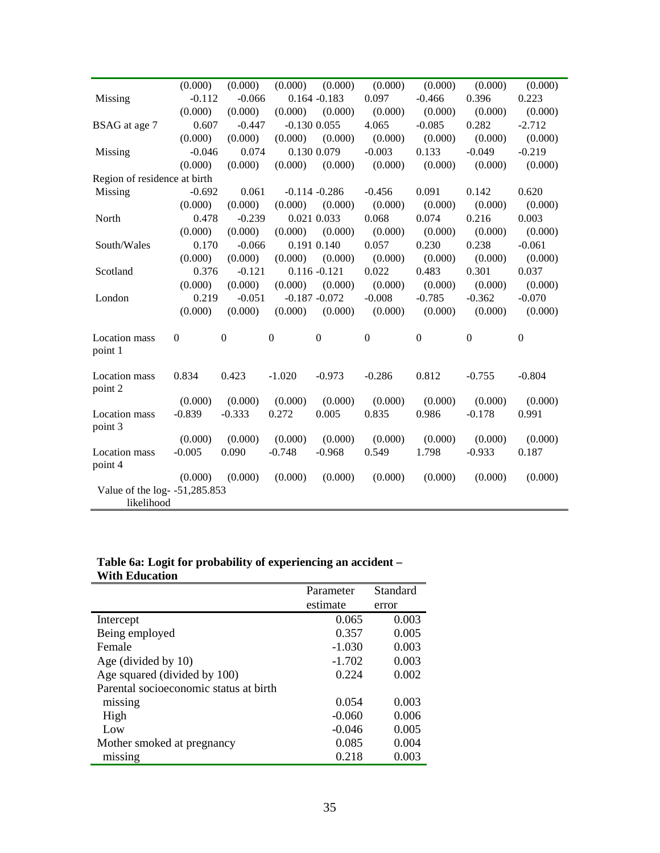|                                             | (0.000)      | (0.000)          | (0.000)          | (0.000)          | (0.000)          | (0.000)          | (0.000)          | (0.000)          |
|---------------------------------------------|--------------|------------------|------------------|------------------|------------------|------------------|------------------|------------------|
| Missing                                     | $-0.112$     | $-0.066$         |                  | $0.164 - 0.183$  | 0.097            | $-0.466$         | 0.396            | 0.223            |
|                                             | (0.000)      | (0.000)          | (0.000)          | (0.000)          | (0.000)          | (0.000)          | (0.000)          | (0.000)          |
| BSAG at age 7                               | 0.607        | $-0.447$         |                  | $-0.130$ $0.055$ | 4.065            | $-0.085$         | 0.282            | $-2.712$         |
|                                             | (0.000)      | (0.000)          | (0.000)          | (0.000)          | (0.000)          | (0.000)          | (0.000)          | (0.000)          |
| Missing                                     | $-0.046$     | 0.074            |                  | 0.130 0.079      | $-0.003$         | 0.133            | $-0.049$         | $-0.219$         |
|                                             | (0.000)      | (0.000)          | (0.000)          | (0.000)          | (0.000)          | (0.000)          | (0.000)          | (0.000)          |
| Region of residence at birth                |              |                  |                  |                  |                  |                  |                  |                  |
| Missing                                     | $-0.692$     | 0.061            |                  | $-0.114 - 0.286$ | $-0.456$         | 0.091            | 0.142            | 0.620            |
|                                             | (0.000)      | (0.000)          | (0.000)          | (0.000)          | (0.000)          | (0.000)          | (0.000)          | (0.000)          |
| North                                       | 0.478        | $-0.239$         |                  | 0.021 0.033      | 0.068            | 0.074            | 0.216            | 0.003            |
|                                             | (0.000)      | (0.000)          | (0.000)          | (0.000)          | (0.000)          | (0.000)          | (0.000)          | (0.000)          |
| South/Wales                                 | 0.170        | $-0.066$         |                  | 0.191 0.140      | 0.057            | 0.230            | 0.238            | $-0.061$         |
|                                             | (0.000)      | (0.000)          | (0.000)          | (0.000)          | (0.000)          | (0.000)          | (0.000)          | (0.000)          |
| Scotland                                    | 0.376        | $-0.121$         |                  | $0.116 - 0.121$  | 0.022            | 0.483            | 0.301            | 0.037            |
|                                             | (0.000)      | (0.000)          | (0.000)          | (0.000)          | (0.000)          | (0.000)          | (0.000)          | (0.000)          |
| London                                      | 0.219        | $-0.051$         |                  | $-0.187 - 0.072$ | $-0.008$         | $-0.785$         | $-0.362$         | $-0.070$         |
|                                             | (0.000)      | (0.000)          | (0.000)          | (0.000)          | (0.000)          | (0.000)          | (0.000)          | (0.000)          |
| Location mass<br>point 1                    | $\mathbf{0}$ | $\boldsymbol{0}$ | $\boldsymbol{0}$ | $\boldsymbol{0}$ | $\boldsymbol{0}$ | $\boldsymbol{0}$ | $\boldsymbol{0}$ | $\boldsymbol{0}$ |
| Location mass<br>point 2                    | 0.834        | 0.423            | $-1.020$         | $-0.973$         | $-0.286$         | 0.812            | $-0.755$         | $-0.804$         |
|                                             | (0.000)      | (0.000)          | (0.000)          | (0.000)          | (0.000)          | (0.000)          | (0.000)          | (0.000)          |
| Location mass<br>point 3                    | $-0.839$     | $-0.333$         | 0.272            | 0.005            | 0.835            | 0.986            | $-0.178$         | 0.991            |
|                                             | (0.000)      | (0.000)          | (0.000)          | (0.000)          | (0.000)          | (0.000)          | (0.000)          | (0.000)          |
| <b>Location</b> mass<br>point 4             | $-0.005$     | 0.090            | $-0.748$         | $-0.968$         | 0.549            | 1.798            | $-0.933$         | 0.187            |
|                                             | (0.000)      | (0.000)          | (0.000)          | (0.000)          | (0.000)          | (0.000)          | (0.000)          | (0.000)          |
| Value of the log- -51,285.853<br>likelihood |              |                  |                  |                  |                  |                  |                  |                  |

# **Table 6a: Logit for probability of experiencing an accident – With Education**

| estimate<br>error<br>0.065<br>0.003<br>Intercept<br>0.357<br>0.005<br>Being employed |
|--------------------------------------------------------------------------------------|
|                                                                                      |
|                                                                                      |
|                                                                                      |
| $-1.030$<br>0.003<br>Female                                                          |
| 0.003<br>Age (divided by 10)<br>$-1.702$                                             |
| Age squared (divided by 100)<br>0.002<br>0.224                                       |
| Parental socioeconomic status at birth                                               |
| 0.054<br>0.003<br>missing                                                            |
| High<br>0.006<br>$-0.060$                                                            |
| 0.005<br>$-0.046$<br>Low                                                             |
| 0.085<br>0.004<br>Mother smoked at pregnancy                                         |
| 0.218<br>0.003<br>missing                                                            |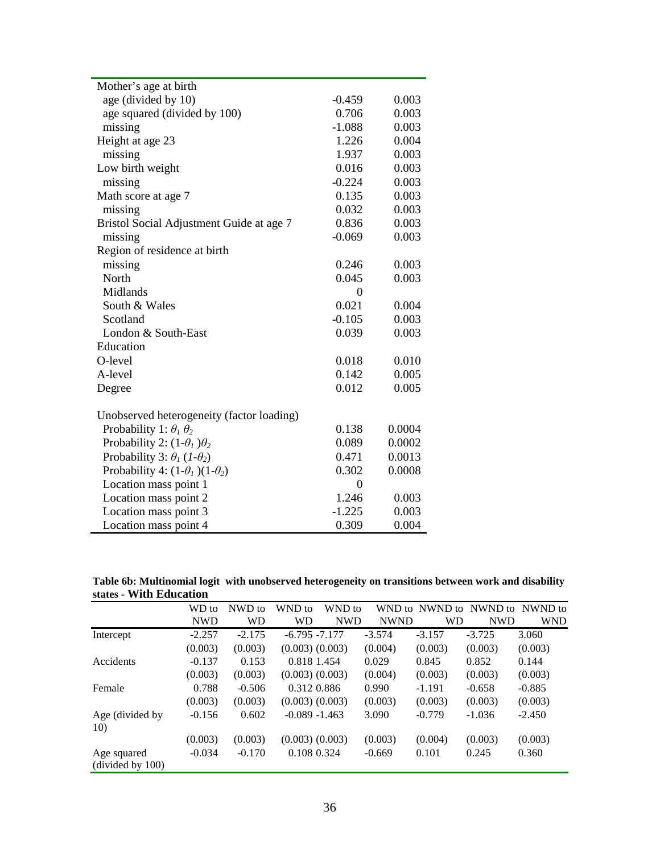| Mother's age at birth                      |          |        |
|--------------------------------------------|----------|--------|
| age (divided by 10)                        | $-0.459$ | 0.003  |
| age squared (divided by 100)               | 0.706    | 0.003  |
| missing                                    | $-1.088$ | 0.003  |
| Height at age 23                           | 1.226    | 0.004  |
| missing                                    | 1.937    | 0.003  |
| Low birth weight                           | 0.016    | 0.003  |
| missing                                    | $-0.224$ | 0.003  |
| Math score at age 7                        | 0.135    | 0.003  |
| missing                                    | 0.032    | 0.003  |
| Bristol Social Adjustment Guide at age 7   | 0.836    | 0.003  |
| missing                                    | $-0.069$ | 0.003  |
| Region of residence at birth               |          |        |
| missing                                    | 0.246    | 0.003  |
| North                                      | 0.045    | 0.003  |
| Midlands                                   | $\Omega$ |        |
| South & Wales                              | 0.021    | 0.004  |
| Scotland                                   | $-0.105$ | 0.003  |
| London & South-East                        | 0.039    | 0.003  |
| Education                                  |          |        |
| O-level                                    | 0.018    | 0.010  |
| A-level                                    | 0.142    | 0.005  |
| Degree                                     | 0.012    | 0.005  |
|                                            |          |        |
| Unobserved heterogeneity (factor loading)  |          |        |
| Probability 1: $\theta_1 \theta_2$         | 0.138    | 0.0004 |
| Probability 2: $(1-\theta_1)\theta_2$      | 0.089    | 0.0002 |
| Probability 3: $\theta_1$ (1- $\theta_2$ ) | 0.471    | 0.0013 |
| Probability 4: $(1-\theta_1)(1-\theta_2)$  | 0.302    | 0.0008 |
| Location mass point 1                      | $\theta$ |        |
| Location mass point 2                      | 1.246    | 0.003  |
| Location mass point 3                      | $-1.225$ | 0.003  |
| Location mass point 4                      | 0.309    | 0.004  |

| Table 6b: Multinomial logit with unobserved heterogeneity on transitions between work and disability |  |  |  |
|------------------------------------------------------------------------------------------------------|--|--|--|
| states - With Education                                                                              |  |  |  |

|                                 | WD to      | NWD to    | WND to           | WND to              | WND to      | NWND to   | NWND to    | NWND to    |
|---------------------------------|------------|-----------|------------------|---------------------|-------------|-----------|------------|------------|
|                                 | <b>NWD</b> | <b>WD</b> | <b>WD</b>        | <b>NWD</b>          | <b>NWND</b> | <b>WD</b> | <b>NWD</b> | <b>WND</b> |
| Intercept                       | $-2.257$   | $-2.175$  | $-6.795 -7.177$  |                     | $-3.574$    | $-3.157$  | $-3.725$   | 3.060      |
|                                 | (0.003)    | (0.003)   |                  | $(0.003)$ $(0.003)$ | (0.004)     | (0.003)   | (0.003)    | (0.003)    |
| Accidents                       | $-0.137$   | 0.153     | 0.818 1.454      |                     | 0.029       | 0.845     | 0.852      | 0.144      |
|                                 | (0.003)    | (0.003)   |                  | $(0.003)$ $(0.003)$ | (0.004)     | (0.003)   | (0.003)    | (0.003)    |
| Female                          | 0.788      | $-0.506$  | 0.312 0.886      |                     | 0.990       | $-1.191$  | $-0.658$   | $-0.885$   |
|                                 | (0.003)    | (0.003)   |                  | $(0.003)$ $(0.003)$ | (0.003)     | (0.003)   | (0.003)    | (0.003)    |
| Age (divided by                 | $-0.156$   | 0.602     | $-0.089 - 1.463$ |                     | 3.090       | $-0.779$  | $-1.036$   | $-2.450$   |
| 10)                             |            |           |                  |                     |             |           |            |            |
|                                 | (0.003)    | (0.003)   |                  | $(0.003)$ $(0.003)$ | (0.003)     | (0.004)   | (0.003)    | (0.003)    |
| Age squared<br>(divided by 100) | $-0.034$   | $-0.170$  | 0.108 0.324      |                     | $-0.669$    | 0.101     | 0.245      | 0.360      |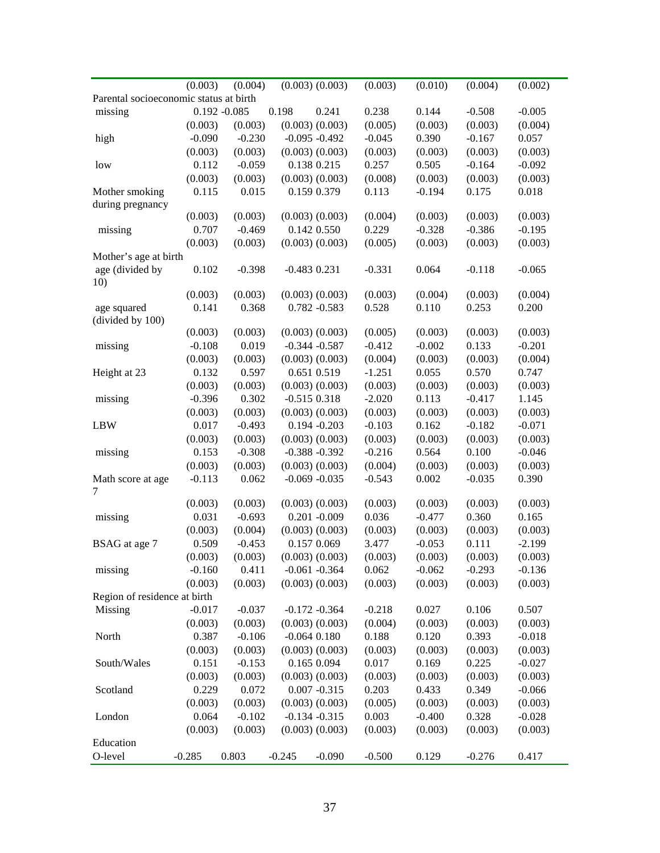|                                        | (0.003)  | (0.004)         |                  | $(0.003)$ $(0.003)$ | (0.003)  | (0.010)  | (0.004)  | (0.002)  |
|----------------------------------------|----------|-----------------|------------------|---------------------|----------|----------|----------|----------|
| Parental socioeconomic status at birth |          |                 |                  |                     |          |          |          |          |
| missing                                |          | $0.192 - 0.085$ | 0.198            | 0.241               | 0.238    | 0.144    | $-0.508$ | $-0.005$ |
|                                        | (0.003)  | (0.003)         |                  | $(0.003)$ $(0.003)$ | (0.005)  | (0.003)  | (0.003)  | (0.004)  |
| high                                   | $-0.090$ | $-0.230$        |                  | $-0.095 - 0.492$    | $-0.045$ | 0.390    | $-0.167$ | 0.057    |
|                                        | (0.003)  | (0.003)         |                  | $(0.003)$ $(0.003)$ | (0.003)  | (0.003)  | (0.003)  | (0.003)  |
| low                                    | 0.112    | $-0.059$        |                  | 0.138 0.215         | 0.257    | 0.505    | $-0.164$ | $-0.092$ |
|                                        | (0.003)  | (0.003)         |                  | $(0.003)$ $(0.003)$ | (0.008)  | (0.003)  | (0.003)  | (0.003)  |
| Mother smoking                         | 0.115    | 0.015           |                  | 0.159 0.379         | 0.113    | $-0.194$ | 0.175    | 0.018    |
| during pregnancy                       |          |                 |                  |                     |          |          |          |          |
|                                        | (0.003)  | (0.003)         |                  | $(0.003)$ $(0.003)$ | (0.004)  | (0.003)  | (0.003)  | (0.003)  |
| missing                                | 0.707    | $-0.469$        |                  | 0.142 0.550         | 0.229    | $-0.328$ | $-0.386$ | $-0.195$ |
|                                        | (0.003)  | (0.003)         |                  | $(0.003)$ $(0.003)$ | (0.005)  | (0.003)  | (0.003)  | (0.003)  |
| Mother's age at birth                  |          |                 |                  |                     |          |          |          |          |
| age (divided by                        | 0.102    | $-0.398$        | $-0.483$ 0.231   |                     | $-0.331$ | 0.064    | $-0.118$ | $-0.065$ |
| 10)                                    |          |                 |                  |                     |          |          |          |          |
|                                        | (0.003)  | (0.003)         |                  | $(0.003)$ $(0.003)$ | (0.003)  | (0.004)  | (0.003)  | (0.004)  |
| age squared                            | 0.141    | 0.368           |                  | $0.782 - 0.583$     | 0.528    | 0.110    | 0.253    | 0.200    |
| (divided by 100)                       |          |                 |                  |                     |          |          |          |          |
|                                        | (0.003)  | (0.003)         |                  | $(0.003)$ $(0.003)$ | (0.005)  | (0.003)  | (0.003)  | (0.003)  |
| missing                                | $-0.108$ | 0.019           |                  | $-0.344 - 0.587$    | $-0.412$ | $-0.002$ | 0.133    | $-0.201$ |
|                                        | (0.003)  | (0.003)         |                  | $(0.003)$ $(0.003)$ | (0.004)  | (0.003)  | (0.003)  | (0.004)  |
| Height at 23                           | 0.132    | 0.597           |                  | 0.651 0.519         | $-1.251$ | 0.055    | 0.570    | 0.747    |
|                                        | (0.003)  | (0.003)         |                  | $(0.003)$ $(0.003)$ | (0.003)  | (0.003)  | (0.003)  | (0.003)  |
| missing                                | $-0.396$ | 0.302           | $-0.515$ $0.318$ |                     | $-2.020$ | 0.113    | $-0.417$ | 1.145    |
|                                        | (0.003)  | (0.003)         |                  | $(0.003)$ $(0.003)$ | (0.003)  | (0.003)  | (0.003)  | (0.003)  |
| <b>LBW</b>                             | 0.017    | $-0.493$        |                  | $0.194 - 0.203$     | $-0.103$ | 0.162    | $-0.182$ | $-0.071$ |
|                                        | (0.003)  | (0.003)         |                  | $(0.003)$ $(0.003)$ | (0.003)  | (0.003)  | (0.003)  | (0.003)  |
| missing                                | 0.153    | $-0.308$        |                  | $-0.388 - 0.392$    | $-0.216$ | 0.564    | 0.100    | $-0.046$ |
|                                        | (0.003)  | (0.003)         |                  | $(0.003)$ $(0.003)$ | (0.004)  | (0.003)  | (0.003)  | (0.003)  |
| Math score at age                      | $-0.113$ | 0.062           |                  | $-0.069 - 0.035$    | $-0.543$ | 0.002    | $-0.035$ | 0.390    |
| 7                                      |          |                 |                  |                     |          |          |          |          |
|                                        | (0.003)  | (0.003)         |                  | $(0.003)$ $(0.003)$ | (0.003)  | (0.003)  | (0.003)  | (0.003)  |
| missing                                | 0.031    | $-0.693$        |                  | $0.201 - 0.009$     | 0.036    | $-0.477$ | 0.360    | 0.165    |
|                                        | (0.003)  | (0.004)         |                  | $(0.003)$ $(0.003)$ | (0.003)  | (0.003)  | (0.003)  | (0.003)  |
| BSAG at age 7                          | 0.509    | $-0.453$        |                  | 0.157 0.069         | 3.477    | $-0.053$ | 0.111    | $-2.199$ |
|                                        | (0.003)  | (0.003)         |                  | $(0.003)$ $(0.003)$ | (0.003)  | (0.003)  | (0.003)  | (0.003)  |
| missing                                | $-0.160$ | 0.411           |                  | $-0.061 - 0.364$    | 0.062    | $-0.062$ | $-0.293$ | $-0.136$ |
|                                        | (0.003)  | (0.003)         |                  | $(0.003)$ $(0.003)$ | (0.003)  | (0.003)  | (0.003)  | (0.003)  |
| Region of residence at birth           |          |                 |                  |                     |          |          |          |          |
| Missing                                | $-0.017$ | $-0.037$        |                  | $-0.172 - 0.364$    | $-0.218$ | 0.027    | 0.106    | 0.507    |
|                                        | (0.003)  | (0.003)         |                  | $(0.003)$ $(0.003)$ | (0.004)  | (0.003)  | (0.003)  | (0.003)  |
| North                                  | 0.387    | $-0.106$        | $-0.064$ $0.180$ |                     | 0.188    | 0.120    | 0.393    | $-0.018$ |
|                                        | (0.003)  | (0.003)         |                  | $(0.003)$ $(0.003)$ | (0.003)  | (0.003)  | (0.003)  | (0.003)  |
| South/Wales                            | 0.151    | $-0.153$        |                  | 0.165 0.094         | 0.017    | 0.169    | 0.225    | $-0.027$ |
|                                        | (0.003)  | (0.003)         |                  | $(0.003)$ $(0.003)$ | (0.003)  | (0.003)  | (0.003)  | (0.003)  |
| Scotland                               | 0.229    | 0.072           |                  | $0.007 - 0.315$     | 0.203    | 0.433    | 0.349    | $-0.066$ |
|                                        | (0.003)  | (0.003)         |                  | $(0.003)$ $(0.003)$ | (0.005)  | (0.003)  | (0.003)  | (0.003)  |
| London                                 | 0.064    | $-0.102$        |                  | $-0.134 - 0.315$    | 0.003    | $-0.400$ | 0.328    | $-0.028$ |
|                                        | (0.003)  | (0.003)         |                  | $(0.003)$ $(0.003)$ | (0.003)  | (0.003)  | (0.003)  | (0.003)  |
| Education                              |          |                 |                  |                     |          |          |          |          |
| O-level                                |          |                 |                  |                     |          |          |          |          |
|                                        | $-0.285$ | 0.803           | $-0.245$         | $-0.090$            | $-0.500$ | 0.129    | $-0.276$ | 0.417    |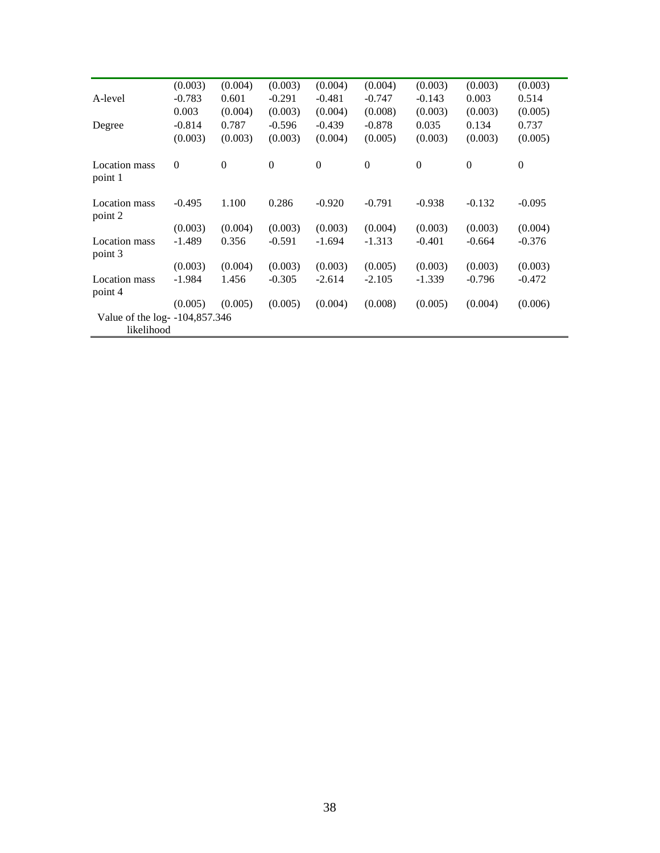| (0.003)    | (0.004)  | (0.003)                        | (0.004)        | (0.004)      | (0.003)      | (0.003)      | (0.003)      |
|------------|----------|--------------------------------|----------------|--------------|--------------|--------------|--------------|
| $-0.783$   | 0.601    | $-0.291$                       | $-0.481$       | $-0.747$     | $-0.143$     | 0.003        | 0.514        |
| 0.003      | (0.004)  | (0.003)                        | (0.004)        | (0.008)      | (0.003)      | (0.003)      | (0.005)      |
| $-0.814$   | 0.787    | $-0.596$                       | $-0.439$       | $-0.878$     | 0.035        | 0.134        | 0.737        |
| (0.003)    | (0.003)  | (0.003)                        | (0.004)        | (0.005)      | (0.003)      | (0.003)      | (0.005)      |
| $\theta$   | $\theta$ | $\boldsymbol{0}$               | $\overline{0}$ | $\mathbf{0}$ | $\mathbf{0}$ | $\mathbf{0}$ | $\mathbf{0}$ |
| $-0.495$   | 1.100    | 0.286                          | $-0.920$       | $-0.791$     | $-0.938$     | $-0.132$     | $-0.095$     |
| (0.003)    | (0.004)  | (0.003)                        | (0.003)        | (0.004)      | (0.003)      | (0.003)      | (0.004)      |
| $-1.489$   | 0.356    | $-0.591$                       | $-1.694$       | $-1.313$     | $-0.401$     | $-0.664$     | $-0.376$     |
| (0.003)    | (0.004)  | (0.003)                        | (0.003)        | (0.005)      | (0.003)      | (0.003)      | (0.003)      |
| $-1.984$   | 1.456    | $-0.305$                       | $-2.614$       | $-2.105$     | $-1.339$     | $-0.796$     | $-0.472$     |
| (0.005)    | (0.005)  | (0.005)                        | (0.004)        | (0.008)      | (0.005)      | (0.004)      | (0.006)      |
|            |          |                                |                |              |              |              |              |
| likelihood |          |                                |                |              |              |              |              |
|            |          | Value of the log- -104,857.346 |                |              |              |              |              |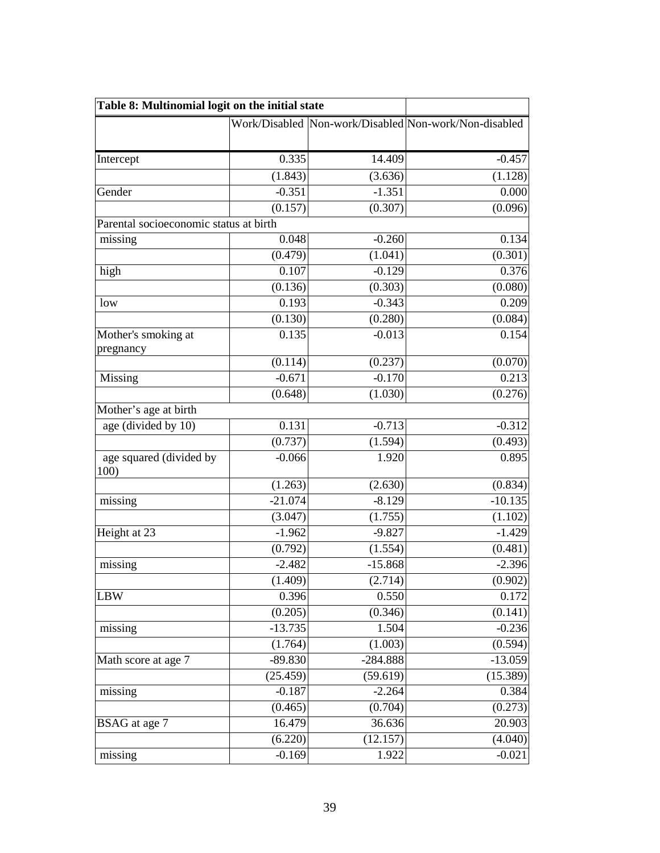| Table 8: Multinomial logit on the initial state |           |            |                                                       |
|-------------------------------------------------|-----------|------------|-------------------------------------------------------|
|                                                 |           |            | Work/Disabled Non-work/Disabled Non-work/Non-disabled |
|                                                 |           |            |                                                       |
| Intercept                                       | 0.335     | 14.409     | $-0.457$                                              |
|                                                 | (1.843)   | (3.636)    | (1.128)                                               |
| Gender                                          | $-0.351$  | $-1.351$   | 0.000                                                 |
|                                                 | (0.157)   | (0.307)    | (0.096)                                               |
| Parental socioeconomic status at birth          |           |            |                                                       |
| missing                                         | 0.048     | $-0.260$   | 0.134                                                 |
|                                                 | (0.479)   | (1.041)    | (0.301)                                               |
| high                                            | 0.107     | $-0.129$   | 0.376                                                 |
|                                                 | (0.136)   | (0.303)    | (0.080)                                               |
| low                                             | 0.193     | $-0.343$   | 0.209                                                 |
|                                                 | (0.130)   | (0.280)    | (0.084)                                               |
| Mother's smoking at                             | 0.135     | $-0.013$   | 0.154                                                 |
| pregnancy                                       |           |            |                                                       |
|                                                 | (0.114)   | (0.237)    | (0.070)                                               |
| Missing                                         | $-0.671$  | $-0.170$   | 0.213                                                 |
|                                                 | (0.648)   | (1.030)    | (0.276)                                               |
| Mother's age at birth                           |           |            |                                                       |
| age (divided by 10)                             | 0.131     | $-0.713$   | $-0.312$                                              |
|                                                 | (0.737)   | (1.594)    | (0.493)                                               |
| age squared (divided by<br>100)                 | $-0.066$  | 1.920      | 0.895                                                 |
|                                                 | (1.263)   | (2.630)    | (0.834)                                               |
| missing                                         | $-21.074$ | $-8.129$   | $-10.135$                                             |
|                                                 | (3.047)   | (1.755)    | (1.102)                                               |
| Height at 23                                    | $-1.962$  | $-9.827$   | $-1.429$                                              |
|                                                 | (0.792)   | (1.554)    | (0.481)                                               |
| missing                                         | $-2.482$  | $-15.868$  | $-2.396$                                              |
|                                                 | (1.409)   | (2.714)    | (0.902)                                               |
| <b>LBW</b>                                      | 0.396     | 0.550      | 0.172                                                 |
|                                                 | (0.205)   | (0.346)    | (0.141)                                               |
| missing                                         | $-13.735$ | 1.504      | $-0.236$                                              |
|                                                 | (1.764)   | (1.003)    | (0.594)                                               |
| Math score at age 7                             | -89.830   | $-284.888$ | $-13.059$                                             |
|                                                 | (25.459)  | (59.619)   | (15.389)                                              |
| missing                                         | $-0.187$  | $-2.264$   | 0.384                                                 |
|                                                 | (0.465)   | (0.704)    | (0.273)                                               |
| BSAG at age 7                                   | 16.479    | 36.636     | 20.903                                                |
|                                                 | (6.220)   | (12.157)   | (4.040)                                               |
| missing                                         | $-0.169$  | 1.922      | $-0.021$                                              |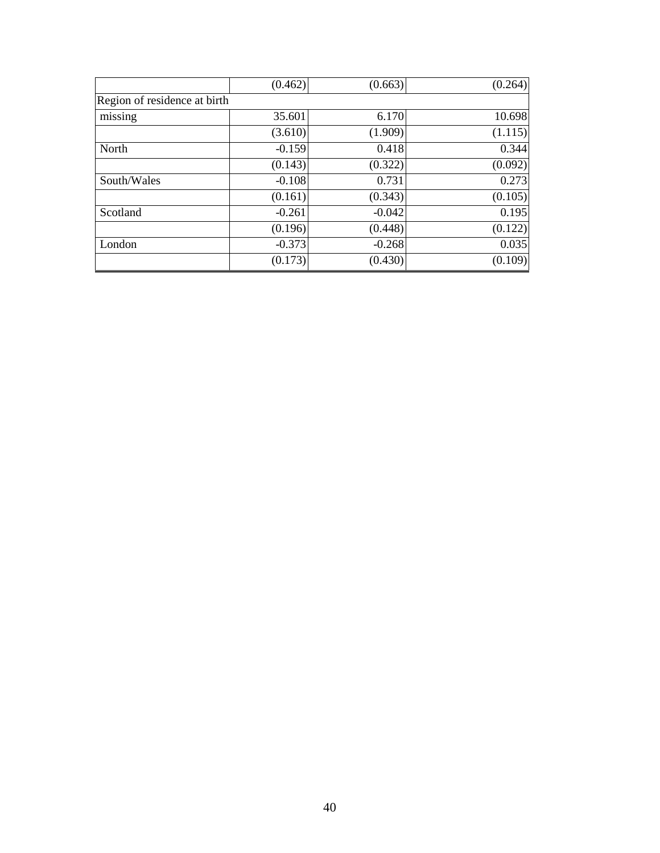|                              | (0.462)  | (0.663)  | (0.264) |
|------------------------------|----------|----------|---------|
| Region of residence at birth |          |          |         |
| missing                      | 35.601   | 6.170    | 10.698  |
|                              | (3.610)  | (1.909)  | (1.115) |
| North                        | $-0.159$ | 0.418    | 0.344   |
|                              | (0.143)  | (0.322)  | (0.092) |
| South/Wales                  | $-0.108$ | 0.731    | 0.273   |
|                              | (0.161)  | (0.343)  | (0.105) |
| Scotland                     | $-0.261$ | $-0.042$ | 0.195   |
|                              | (0.196)  | (0.448)  | (0.122) |
| London                       | $-0.373$ | $-0.268$ | 0.035   |
|                              | (0.173)  | (0.430)  | (0.109) |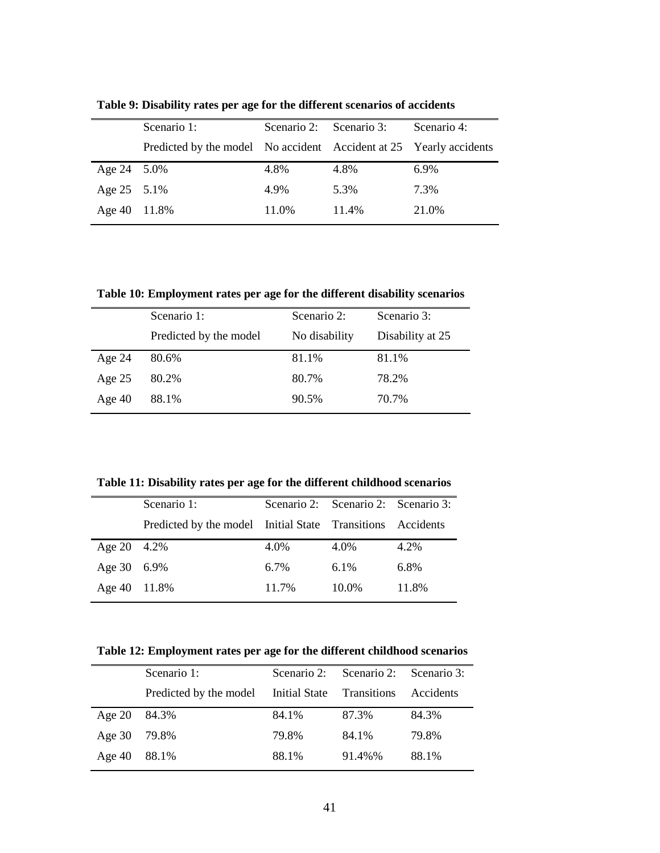|             | Scenario 1:                                                        | Scenario 2: Scenario 3: |       | Scenario 4: |
|-------------|--------------------------------------------------------------------|-------------------------|-------|-------------|
|             | Predicted by the model No accident Accident at 25 Yearly accidents |                         |       |             |
| Age 24 5.0% |                                                                    | 4.8%                    | 4.8%  | 6.9%        |
| Age 25 5.1% |                                                                    | 4.9%                    | 5.3%  | 7.3%        |
| Age $40$    | 11.8%                                                              | 11.0%                   | 11.4% | 21.0%       |

**Table 9: Disability rates per age for the different scenarios of accidents** 

**Table 10: Employment rates per age for the different disability scenarios** 

|          | Scenario 1:            | Scenario 2:   | Scenario 3:      |
|----------|------------------------|---------------|------------------|
|          | Predicted by the model | No disability | Disability at 25 |
| Age $24$ | 80.6%                  | 81.1%         | 81.1%            |
| Age $25$ | 80.2%                  | 80.7%         | 78.2%            |
| Age $40$ | 88.1%                  | 90.5%         | 70.7%            |

**Table 11: Disability rates per age for the different childhood scenarios** 

|              | Scenario 1:                                                |         | Scenario 2: Scenario 2: Scenario 3: |       |
|--------------|------------------------------------------------------------|---------|-------------------------------------|-------|
|              | Predicted by the model Initial State Transitions Accidents |         |                                     |       |
| Age 20 4.2%  |                                                            | 4.0%    | 4.0%                                | 4.2%  |
| Age 30 6.9%  |                                                            | $6.7\%$ | $6.1\%$                             | 6.8%  |
| Age 40 11.8% |                                                            | 11.7%   | 10.0%                               | 11.8% |

**Table 12: Employment rates per age for the different childhood scenarios** 

|              | Scenario 1:                                      |       | Scenario 2: Scenario 2: Scenario 3: |           |
|--------------|--------------------------------------------------|-------|-------------------------------------|-----------|
|              | Predicted by the model Initial State Transitions |       |                                     | Accidents |
| Age 20 84.3% |                                                  | 84.1% | 87.3%                               | 84.3%     |
| Age $30$     | 79.8%                                            | 79.8% | 84.1%                               | 79.8%     |
| Age $40$     | 88.1%                                            | 88.1% | 91.4%%                              | 88.1%     |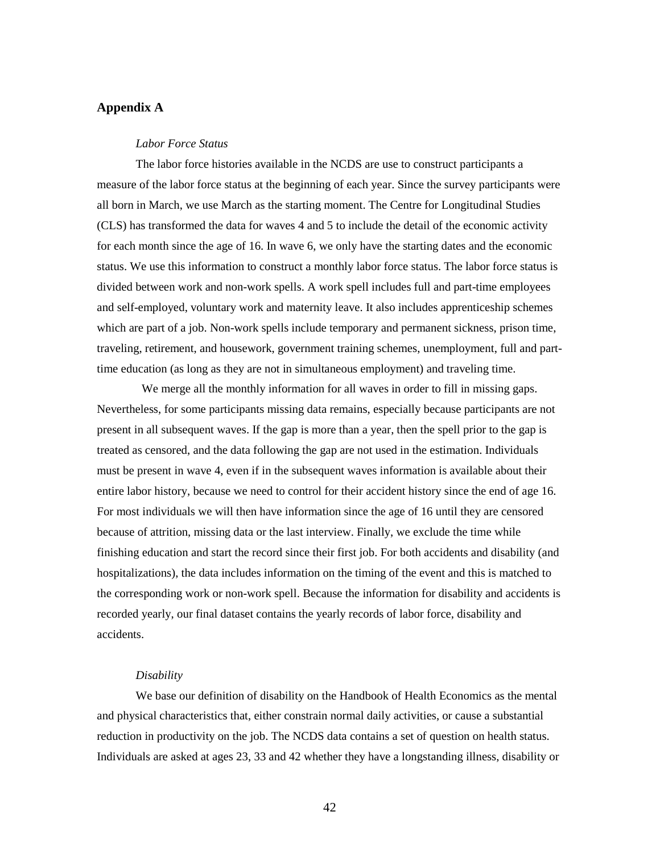# **Appendix A**

#### *Labor Force Status*

The labor force histories available in the NCDS are use to construct participants a measure of the labor force status at the beginning of each year. Since the survey participants were all born in March, we use March as the starting moment. The Centre for Longitudinal Studies (CLS) has transformed the data for waves 4 and 5 to include the detail of the economic activity for each month since the age of 16. In wave 6, we only have the starting dates and the economic status. We use this information to construct a monthly labor force status. The labor force status is divided between work and non-work spells. A work spell includes full and part-time employees and self-employed, voluntary work and maternity leave. It also includes apprenticeship schemes which are part of a job. Non-work spells include temporary and permanent sickness, prison time, traveling, retirement, and housework, government training schemes, unemployment, full and parttime education (as long as they are not in simultaneous employment) and traveling time.

 We merge all the monthly information for all waves in order to fill in missing gaps. Nevertheless, for some participants missing data remains, especially because participants are not present in all subsequent waves. If the gap is more than a year, then the spell prior to the gap is treated as censored, and the data following the gap are not used in the estimation. Individuals must be present in wave 4, even if in the subsequent waves information is available about their entire labor history, because we need to control for their accident history since the end of age 16. For most individuals we will then have information since the age of 16 until they are censored because of attrition, missing data or the last interview. Finally, we exclude the time while finishing education and start the record since their first job. For both accidents and disability (and hospitalizations), the data includes information on the timing of the event and this is matched to the corresponding work or non-work spell. Because the information for disability and accidents is recorded yearly, our final dataset contains the yearly records of labor force, disability and accidents.

## *Disability*

We base our definition of disability on the Handbook of Health Economics as the mental and physical characteristics that, either constrain normal daily activities, or cause a substantial reduction in productivity on the job. The NCDS data contains a set of question on health status. Individuals are asked at ages 23, 33 and 42 whether they have a longstanding illness, disability or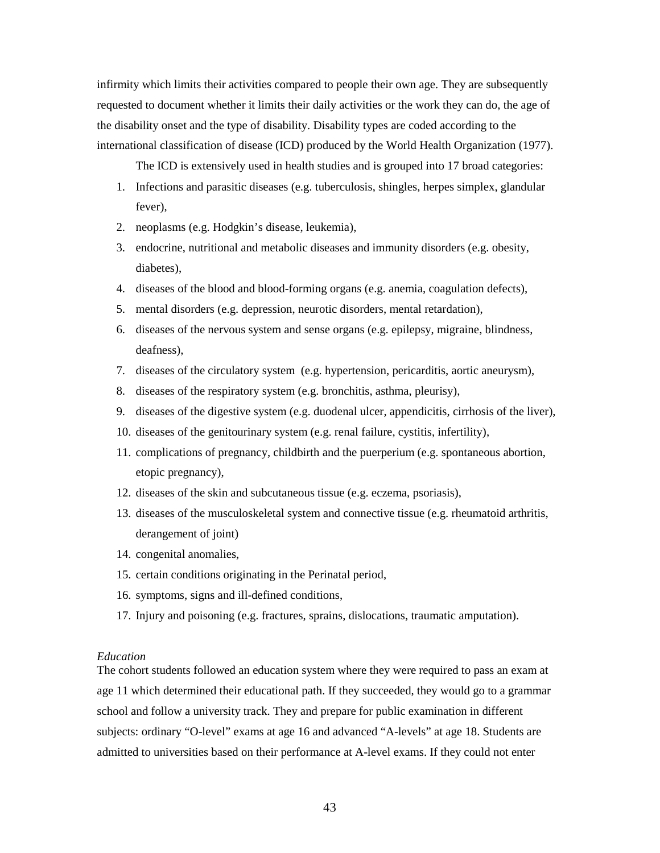infirmity which limits their activities compared to people their own age. They are subsequently requested to document whether it limits their daily activities or the work they can do, the age of the disability onset and the type of disability. Disability types are coded according to the international classification of disease (ICD) produced by the World Health Organization (1977).

The ICD is extensively used in health studies and is grouped into 17 broad categories:

- 1. Infections and parasitic diseases (e.g. tuberculosis, shingles, herpes simplex, glandular fever),
- 2. neoplasms (e.g. Hodgkin's disease, leukemia),
- 3. endocrine, nutritional and metabolic diseases and immunity disorders (e.g. obesity, diabetes),
- 4. diseases of the blood and blood-forming organs (e.g. anemia, coagulation defects),
- 5. mental disorders (e.g. depression, neurotic disorders, mental retardation),
- 6. diseases of the nervous system and sense organs (e.g. epilepsy, migraine, blindness, deafness),
- 7. diseases of the circulatory system (e.g. hypertension, pericarditis, aortic aneurysm),
- 8. diseases of the respiratory system (e.g. bronchitis, asthma, pleurisy),
- 9. diseases of the digestive system (e.g. duodenal ulcer, appendicitis, cirrhosis of the liver),
- 10. diseases of the genitourinary system (e.g. renal failure, cystitis, infertility),
- 11. complications of pregnancy, childbirth and the puerperium (e.g. spontaneous abortion, etopic pregnancy),
- 12. diseases of the skin and subcutaneous tissue (e.g. eczema, psoriasis),
- 13. diseases of the musculoskeletal system and connective tissue (e.g. rheumatoid arthritis, derangement of joint)
- 14. congenital anomalies,
- 15. certain conditions originating in the Perinatal period,
- 16. symptoms, signs and ill-defined conditions,
- 17. Injury and poisoning (e.g. fractures, sprains, dislocations, traumatic amputation).

#### *Education*

The cohort students followed an education system where they were required to pass an exam at age 11 which determined their educational path. If they succeeded, they would go to a grammar school and follow a university track. They and prepare for public examination in different subjects: ordinary "O-level" exams at age 16 and advanced "A-levels" at age 18. Students are admitted to universities based on their performance at A-level exams. If they could not enter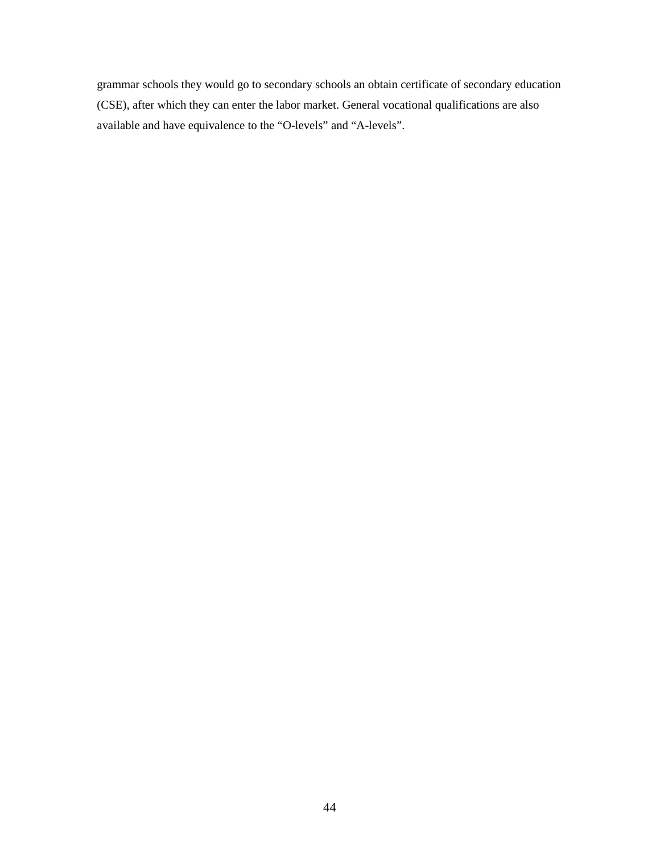grammar schools they would go to secondary schools an obtain certificate of secondary education (CSE), after which they can enter the labor market. General vocational qualifications are also available and have equivalence to the "O-levels" and "A-levels".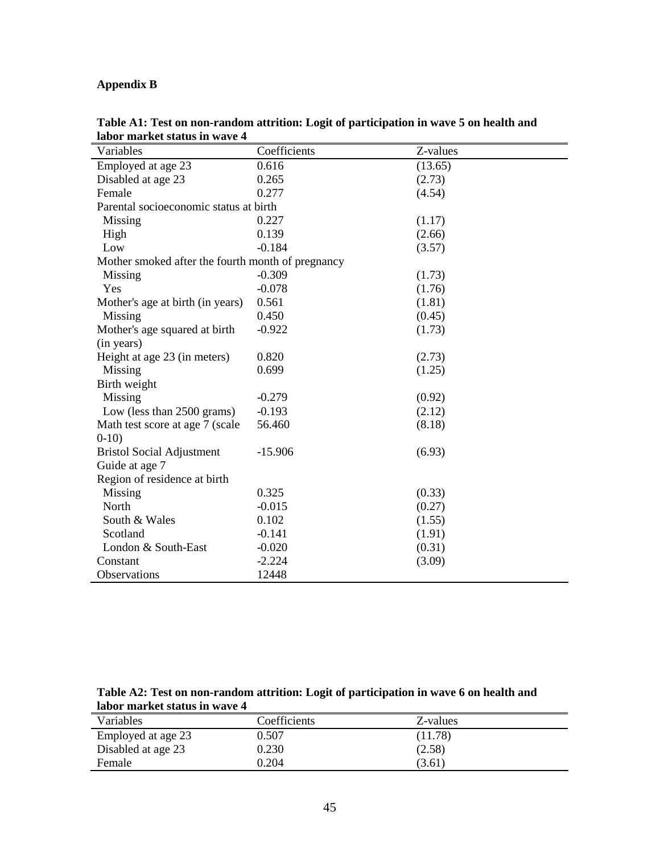# **Appendix B**

| Variables                                         | Coefficients | Z-values |
|---------------------------------------------------|--------------|----------|
| Employed at age 23                                | 0.616        | (13.65)  |
| Disabled at age 23                                | 0.265        | (2.73)   |
| Female                                            | 0.277        | (4.54)   |
| Parental socioeconomic status at birth            |              |          |
| Missing                                           | 0.227        | (1.17)   |
| High                                              | 0.139        | (2.66)   |
| Low                                               | $-0.184$     | (3.57)   |
| Mother smoked after the fourth month of pregnancy |              |          |
| Missing                                           | $-0.309$     | (1.73)   |
| Yes                                               | $-0.078$     | (1.76)   |
| Mother's age at birth (in years)                  | 0.561        | (1.81)   |
| Missing                                           | 0.450        | (0.45)   |
| Mother's age squared at birth                     | $-0.922$     | (1.73)   |
| (in years)                                        |              |          |
| Height at age 23 (in meters)                      | 0.820        | (2.73)   |
| Missing                                           | 0.699        | (1.25)   |
| Birth weight                                      |              |          |
| Missing                                           | $-0.279$     | (0.92)   |
| Low (less than 2500 grams)                        | $-0.193$     | (2.12)   |
| Math test score at age 7 (scale                   | 56.460       | (8.18)   |
| $0-10$                                            |              |          |
| <b>Bristol Social Adjustment</b>                  | $-15.906$    | (6.93)   |
| Guide at age 7                                    |              |          |
| Region of residence at birth                      |              |          |
| Missing                                           | 0.325        | (0.33)   |
| North                                             | $-0.015$     | (0.27)   |
| South & Wales                                     | 0.102        | (1.55)   |
| Scotland                                          | $-0.141$     | (1.91)   |
| London & South-East                               | $-0.020$     | (0.31)   |
| Constant                                          | $-2.224$     | (3.09)   |
| Observations                                      | 12448        |          |

**Table A1: Test on non-random attrition: Logit of participation in wave 5 on health and labor market status in wave 4** 

**Table A2: Test on non-random attrition: Logit of participation in wave 6 on health and labor market status in wave 4** 

| Variables          | Coefficients | Z-values |
|--------------------|--------------|----------|
| Employed at age 23 | 0.507        | (11.78)  |
| Disabled at age 23 | 0.230        | (2.58)   |
| Female             | 0.204        | (3.61)   |